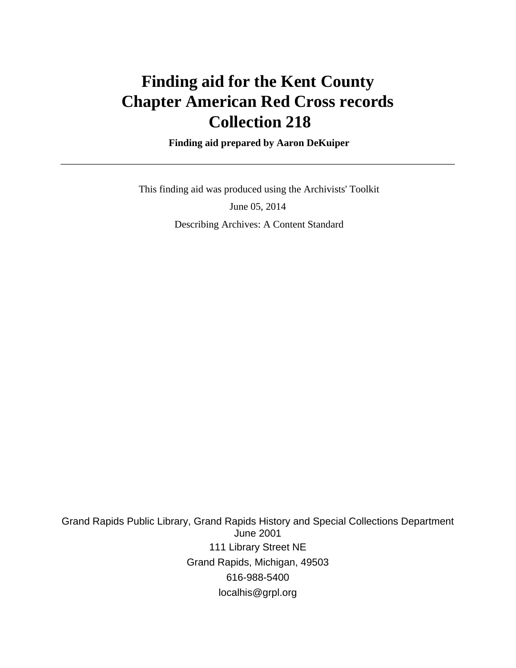# **Finding aid for the Kent County Chapter American Red Cross records Collection 218**

 **Finding aid prepared by Aaron DeKuiper**

 This finding aid was produced using the Archivists' Toolkit June 05, 2014 Describing Archives: A Content Standard

Grand Rapids Public Library, Grand Rapids History and Special Collections Department June 2001 111 Library Street NE Grand Rapids, Michigan, 49503 616-988-5400 localhis@grpl.org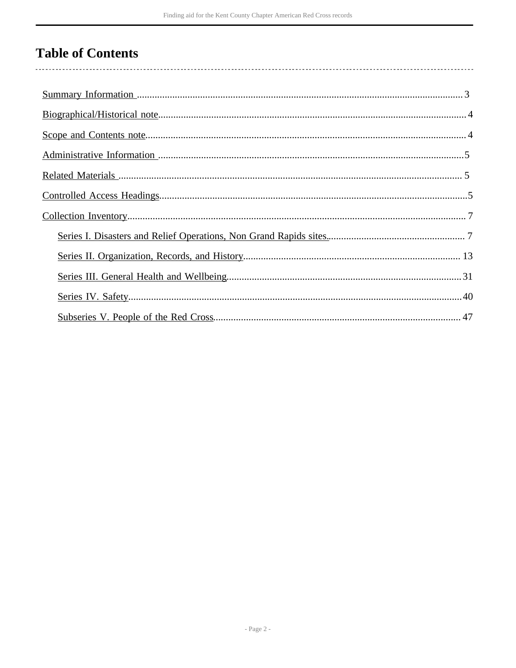# **Table of Contents**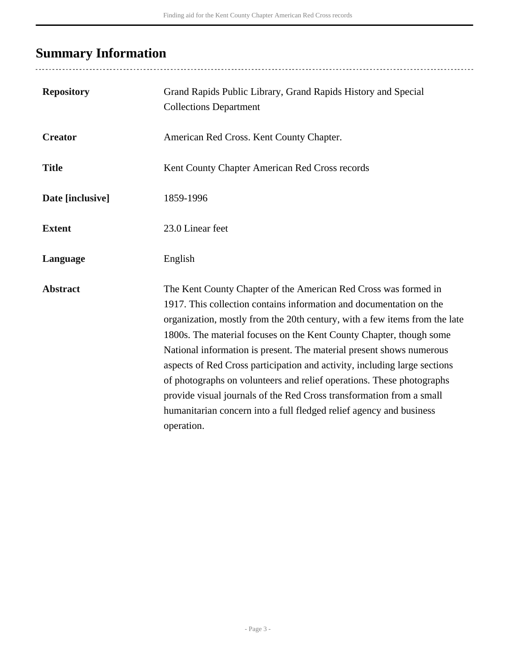# <span id="page-2-0"></span>**Summary Information**

| <b>Repository</b> | Grand Rapids Public Library, Grand Rapids History and Special<br><b>Collections Department</b>                                                                                                                                                                                                                                                                                                                                                                                                                                                                                                                                                                                         |
|-------------------|----------------------------------------------------------------------------------------------------------------------------------------------------------------------------------------------------------------------------------------------------------------------------------------------------------------------------------------------------------------------------------------------------------------------------------------------------------------------------------------------------------------------------------------------------------------------------------------------------------------------------------------------------------------------------------------|
| <b>Creator</b>    | American Red Cross. Kent County Chapter.                                                                                                                                                                                                                                                                                                                                                                                                                                                                                                                                                                                                                                               |
| <b>Title</b>      | Kent County Chapter American Red Cross records                                                                                                                                                                                                                                                                                                                                                                                                                                                                                                                                                                                                                                         |
| Date [inclusive]  | 1859-1996                                                                                                                                                                                                                                                                                                                                                                                                                                                                                                                                                                                                                                                                              |
| <b>Extent</b>     | 23.0 Linear feet                                                                                                                                                                                                                                                                                                                                                                                                                                                                                                                                                                                                                                                                       |
| Language          | English                                                                                                                                                                                                                                                                                                                                                                                                                                                                                                                                                                                                                                                                                |
| <b>Abstract</b>   | The Kent County Chapter of the American Red Cross was formed in<br>1917. This collection contains information and documentation on the<br>organization, mostly from the 20th century, with a few items from the late<br>1800s. The material focuses on the Kent County Chapter, though some<br>National information is present. The material present shows numerous<br>aspects of Red Cross participation and activity, including large sections<br>of photographs on volunteers and relief operations. These photographs<br>provide visual journals of the Red Cross transformation from a small<br>humanitarian concern into a full fledged relief agency and business<br>operation. |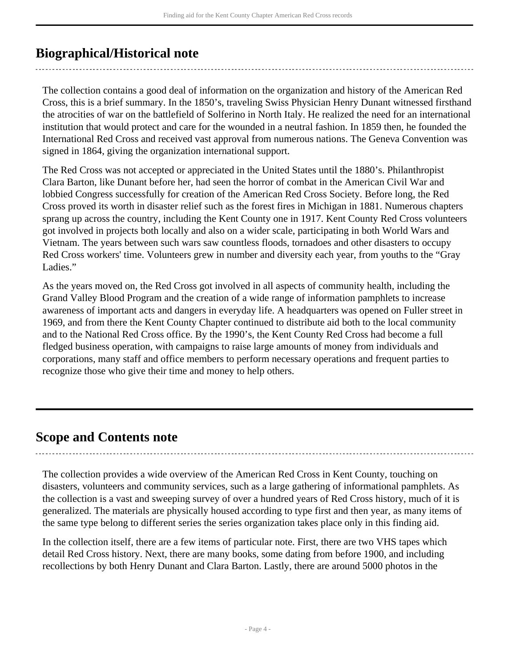## <span id="page-3-0"></span>**Biographical/Historical note**

The collection contains a good deal of information on the organization and history of the American Red Cross, this is a brief summary. In the 1850's, traveling Swiss Physician Henry Dunant witnessed firsthand the atrocities of war on the battlefield of Solferino in North Italy. He realized the need for an international institution that would protect and care for the wounded in a neutral fashion. In 1859 then, he founded the International Red Cross and received vast approval from numerous nations. The Geneva Convention was signed in 1864, giving the organization international support.

The Red Cross was not accepted or appreciated in the United States until the 1880's. Philanthropist Clara Barton, like Dunant before her, had seen the horror of combat in the American Civil War and lobbied Congress successfully for creation of the American Red Cross Society. Before long, the Red Cross proved its worth in disaster relief such as the forest fires in Michigan in 1881. Numerous chapters sprang up across the country, including the Kent County one in 1917. Kent County Red Cross volunteers got involved in projects both locally and also on a wider scale, participating in both World Wars and Vietnam. The years between such wars saw countless floods, tornadoes and other disasters to occupy Red Cross workers' time. Volunteers grew in number and diversity each year, from youths to the "Gray Ladies."

As the years moved on, the Red Cross got involved in all aspects of community health, including the Grand Valley Blood Program and the creation of a wide range of information pamphlets to increase awareness of important acts and dangers in everyday life. A headquarters was opened on Fuller street in 1969, and from there the Kent County Chapter continued to distribute aid both to the local community and to the National Red Cross office. By the 1990's, the Kent County Red Cross had become a full fledged business operation, with campaigns to raise large amounts of money from individuals and corporations, many staff and office members to perform necessary operations and frequent parties to recognize those who give their time and money to help others.

## <span id="page-3-1"></span>**Scope and Contents note**

The collection provides a wide overview of the American Red Cross in Kent County, touching on disasters, volunteers and community services, such as a large gathering of informational pamphlets. As the collection is a vast and sweeping survey of over a hundred years of Red Cross history, much of it is generalized. The materials are physically housed according to type first and then year, as many items of the same type belong to different series the series organization takes place only in this finding aid.

In the collection itself, there are a few items of particular note. First, there are two VHS tapes which detail Red Cross history. Next, there are many books, some dating from before 1900, and including recollections by both Henry Dunant and Clara Barton. Lastly, there are around 5000 photos in the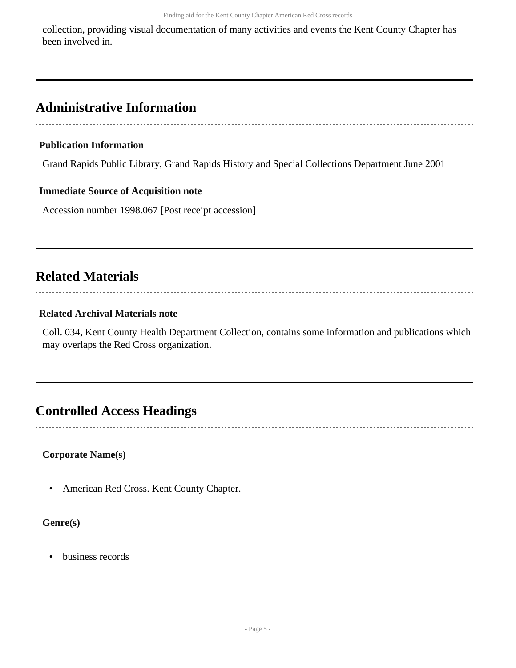collection, providing visual documentation of many activities and events the Kent County Chapter has been involved in.

## <span id="page-4-0"></span>**Administrative Information**

#### **Publication Information**

Grand Rapids Public Library, Grand Rapids History and Special Collections Department June 2001

#### **Immediate Source of Acquisition note**

Accession number 1998.067 [Post receipt accession]

## <span id="page-4-1"></span>**Related Materials**

#### **Related Archival Materials note**

Coll. 034, Kent County Health Department Collection, contains some information and publications which may overlaps the Red Cross organization.

## <span id="page-4-2"></span>**Controlled Access Headings**

#### **Corporate Name(s)**

• American Red Cross. Kent County Chapter.

#### **Genre(s)**

• business records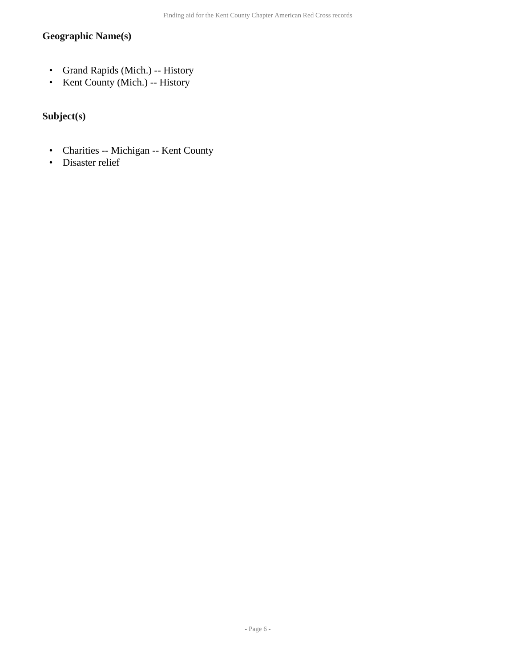#### **Geographic Name(s)**

- Grand Rapids (Mich.) -- History
- Kent County (Mich.) -- History

#### **Subject(s)**

- Charities -- Michigan -- Kent County
- Disaster relief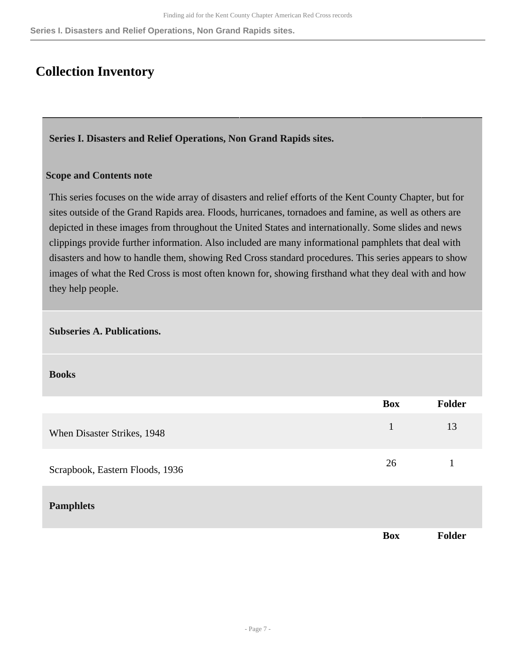**Series I. Disasters and Relief Operations, Non Grand Rapids sites.**

### <span id="page-6-0"></span>**Collection Inventory**

<span id="page-6-1"></span>**Series I. Disasters and Relief Operations, Non Grand Rapids sites.** 

#### **Scope and Contents note**

This series focuses on the wide array of disasters and relief efforts of the Kent County Chapter, but for sites outside of the Grand Rapids area. Floods, hurricanes, tornadoes and famine, as well as others are depicted in these images from throughout the United States and internationally. Some slides and news clippings provide further information. Also included are many informational pamphlets that deal with disasters and how to handle them, showing Red Cross standard procedures. This series appears to show images of what the Red Cross is most often known for, showing firsthand what they deal with and how they help people.

#### **Subseries A. Publications.**

**Books** 

|                                 | <b>Box</b>   | <b>Folder</b> |
|---------------------------------|--------------|---------------|
| When Disaster Strikes, 1948     | $\mathbf{1}$ | 13            |
| Scrapbook, Eastern Floods, 1936 | 26           |               |
| <b>Pamphlets</b>                |              |               |
|                                 | <b>Box</b>   | <b>Folder</b> |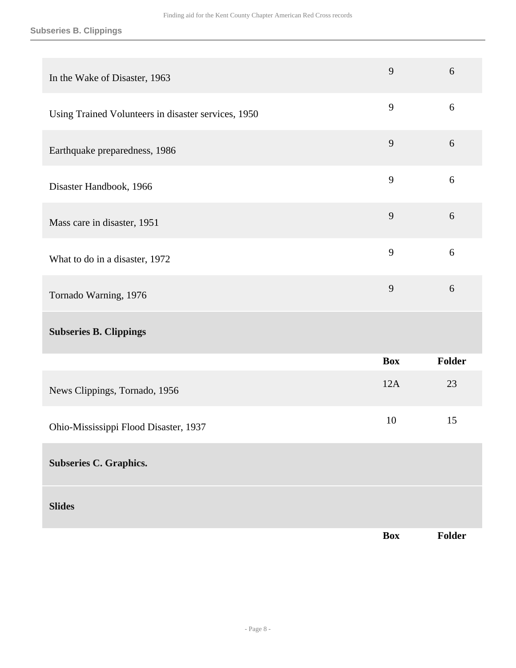#### **Subseries B. Clippings**

| In the Wake of Disaster, 1963                       | 9              | 6      |
|-----------------------------------------------------|----------------|--------|
| Using Trained Volunteers in disaster services, 1950 | 9              | 6      |
| Earthquake preparedness, 1986                       | 9              | 6      |
| Disaster Handbook, 1966                             | 9              | 6      |
| Mass care in disaster, 1951                         | $\overline{9}$ | 6      |
| What to do in a disaster, 1972                      | 9              | 6      |
| Tornado Warning, 1976                               | 9              | 6      |
| <b>Subseries B. Clippings</b>                       |                |        |
|                                                     | <b>Box</b>     | Folder |
| News Clippings, Tornado, 1956                       | 12A            | 23     |
| Ohio-Mississippi Flood Disaster, 1937               | 10             | 15     |
| <b>Subseries C. Graphics.</b>                       |                |        |
| <b>Slides</b>                                       |                |        |
|                                                     | <b>Box</b>     | Folder |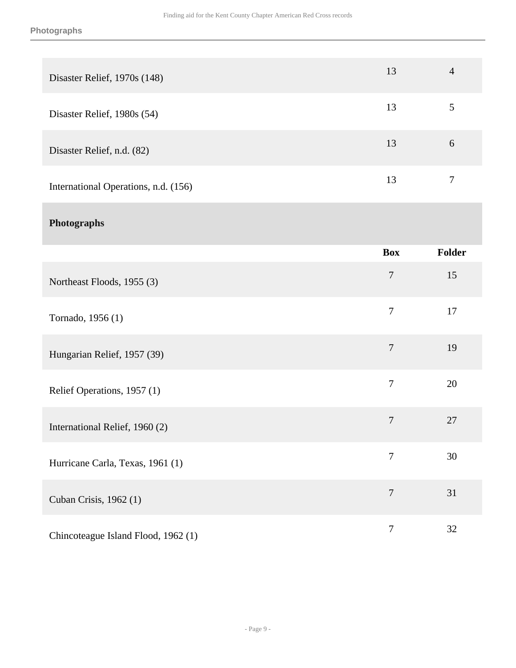| Disaster Relief, 1970s (148)         | 13               | $\overline{4}$ |
|--------------------------------------|------------------|----------------|
| Disaster Relief, 1980s (54)          | 13               | $\mathfrak{S}$ |
| Disaster Relief, n.d. (82)           | 13               | 6              |
| International Operations, n.d. (156) | 13               | $\overline{7}$ |
| Photographs                          |                  |                |
|                                      | <b>Box</b>       | Folder         |
| Northeast Floods, 1955 (3)           | $\boldsymbol{7}$ | 15             |
| Tornado, 1956 (1)                    | $\overline{7}$   | 17             |
| Hungarian Relief, 1957 (39)          | $\overline{7}$   | 19             |
| Relief Operations, 1957 (1)          | $\boldsymbol{7}$ | 20             |
| International Relief, 1960 (2)       | $\boldsymbol{7}$ | 27             |
| Hurricane Carla, Texas, 1961 (1)     | $\boldsymbol{7}$ | 30             |
| Cuban Crisis, 1962 (1)               | $\boldsymbol{7}$ | 31             |
| Chincoteague Island Flood, 1962 (1)  | $\boldsymbol{7}$ | $32\,$         |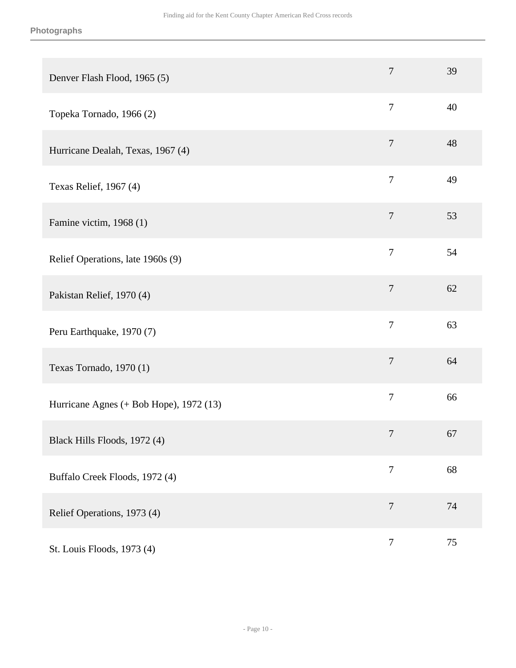| Denver Flash Flood, 1965 (5)            | $\overline{7}$ | 39     |
|-----------------------------------------|----------------|--------|
| Topeka Tornado, 1966 (2)                | $\overline{7}$ | 40     |
| Hurricane Dealah, Texas, 1967 (4)       | $\overline{7}$ | 48     |
| Texas Relief, 1967 (4)                  | $\overline{7}$ | 49     |
| Famine victim, 1968 (1)                 | $\tau$         | 53     |
| Relief Operations, late 1960s (9)       | $\overline{7}$ | 54     |
| Pakistan Relief, 1970 (4)               | $\tau$         | 62     |
| Peru Earthquake, 1970 (7)               | $\overline{7}$ | 63     |
| Texas Tornado, 1970 (1)                 | $\overline{7}$ | 64     |
| Hurricane Agnes (+ Bob Hope), 1972 (13) | $\overline{7}$ | 66     |
| Black Hills Floods, 1972 (4)            | $\overline{7}$ | 67     |
| Buffalo Creek Floods, 1972 (4)          | $\overline{7}$ | 68     |
| Relief Operations, 1973 (4)             | $\tau$         | 74     |
| St. Louis Floods, 1973 (4)              | $\overline{7}$ | $75\,$ |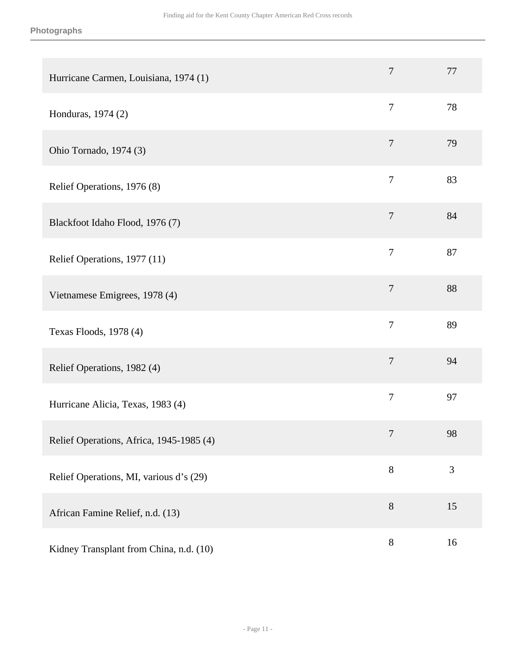| Hurricane Carmen, Louisiana, 1974 (1)    | 7                | 77 |
|------------------------------------------|------------------|----|
| Honduras, 1974 (2)                       | $\tau$           | 78 |
| Ohio Tornado, 1974 (3)                   | $\overline{7}$   | 79 |
| Relief Operations, 1976 (8)              | $\overline{7}$   | 83 |
| Blackfoot Idaho Flood, 1976 (7)          | $\tau$           | 84 |
| Relief Operations, 1977 (11)             | 7                | 87 |
| Vietnamese Emigrees, 1978 (4)            | $\boldsymbol{7}$ | 88 |
| Texas Floods, 1978 (4)                   | $\tau$           | 89 |
| Relief Operations, 1982 (4)              | $\overline{7}$   | 94 |
| Hurricane Alicia, Texas, 1983 (4)        | $\tau$           | 97 |
| Relief Operations, Africa, 1945-1985 (4) | 7                | 98 |
| Relief Operations, MI, various d's (29)  | 8                | 3  |
| African Famine Relief, n.d. (13)         | $8\,$            | 15 |
| Kidney Transplant from China, n.d. (10)  | $8\,$            | 16 |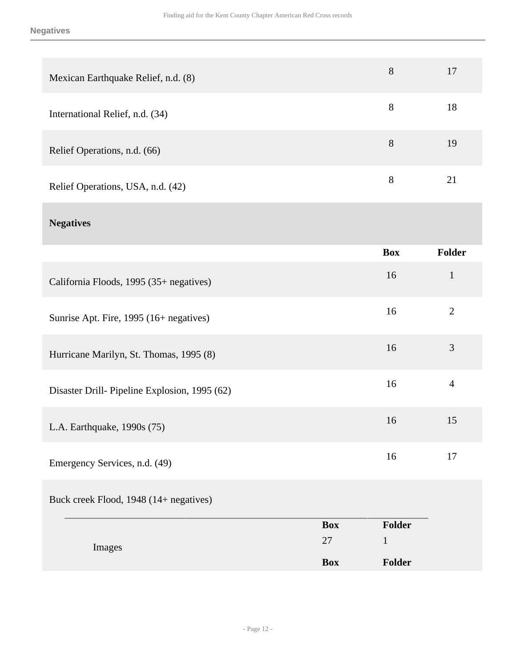#### **Negatives**

| Mexican Earthquake Relief, n.d. (8) | 8 | 17 |
|-------------------------------------|---|----|
| International Relief, n.d. (34)     | 8 | 18 |
| Relief Operations, n.d. (66)        | 8 | 19 |
| Relief Operations, USA, n.d. (42)   | 8 | 21 |

## **Negatives**

|                                              | <b>Box</b> | <b>Folder</b>  |
|----------------------------------------------|------------|----------------|
| California Floods, 1995 (35+ negatives)      | 16         | $\mathbf{1}$   |
| Sunrise Apt. Fire, 1995 (16+ negatives)      | 16         | 2              |
| Hurricane Marilyn, St. Thomas, 1995 (8)      | 16         | 3              |
| Disaster Drill-Pipeline Explosion, 1995 (62) | 16         | $\overline{4}$ |
| L.A. Earthquake, 1990s (75)                  | 16         | 15             |
| Emergency Services, n.d. (49)                | 16         | 17             |

### Buck creek Flood, 1948 (14+ negatives)

|        | <b>Box</b> | <b>Folder</b> |
|--------|------------|---------------|
| Images | 27         |               |
|        | <b>Box</b> | Folder        |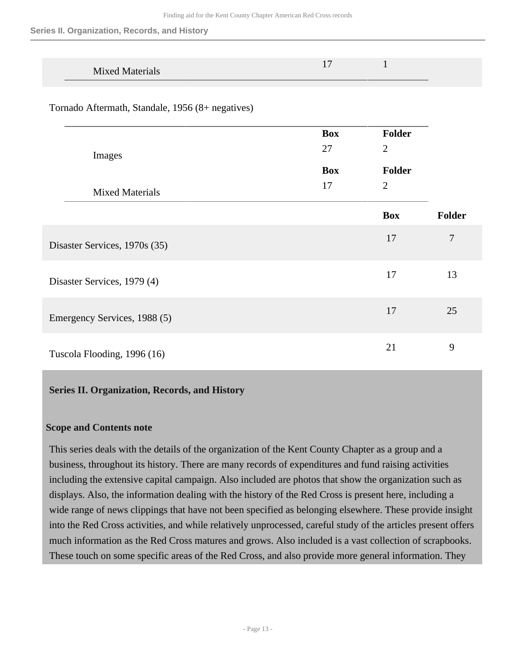**Series II. Organization, Records, and History**

| <b>Mixed Materials</b> |  |  |
|------------------------|--|--|

Tornado Aftermath, Standale, 1956 (8+ negatives)

|                               | <b>Box</b> | Folder         |                |
|-------------------------------|------------|----------------|----------------|
| Images                        | 27         | $\overline{2}$ |                |
|                               | <b>Box</b> | Folder         |                |
| <b>Mixed Materials</b>        | 17         | $\overline{2}$ |                |
|                               |            | <b>Box</b>     | Folder         |
| Disaster Services, 1970s (35) |            | 17             | $\overline{7}$ |
| Disaster Services, 1979 (4)   |            | 17             | 13             |
| Emergency Services, 1988 (5)  |            | 17             | 25             |
| Tuscola Flooding, 1996 (16)   |            | 21             | 9              |

#### <span id="page-12-0"></span>**Series II. Organization, Records, and History**

#### **Scope and Contents note**

This series deals with the details of the organization of the Kent County Chapter as a group and a business, throughout its history. There are many records of expenditures and fund raising activities including the extensive capital campaign. Also included are photos that show the organization such as displays. Also, the information dealing with the history of the Red Cross is present here, including a wide range of news clippings that have not been specified as belonging elsewhere. These provide insight into the Red Cross activities, and while relatively unprocessed, careful study of the articles present offers much information as the Red Cross matures and grows. Also included is a vast collection of scrapbooks. These touch on some specific areas of the Red Cross, and also provide more general information. They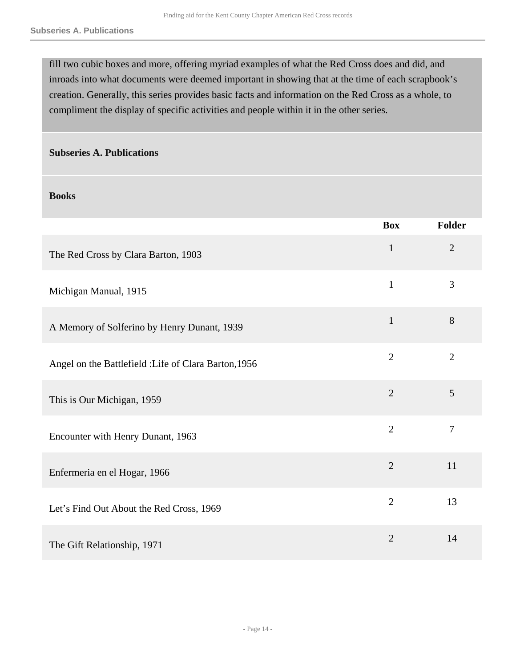fill two cubic boxes and more, offering myriad examples of what the Red Cross does and did, and inroads into what documents were deemed important in showing that at the time of each scrapbook's creation. Generally, this series provides basic facts and information on the Red Cross as a whole, to compliment the display of specific activities and people within it in the other series.

#### **Subseries A. Publications**

#### **Books**

|                                                       | <b>Box</b>     | Folder         |
|-------------------------------------------------------|----------------|----------------|
| The Red Cross by Clara Barton, 1903                   | $\mathbf{1}$   | $\overline{2}$ |
| Michigan Manual, 1915                                 | $\mathbf{1}$   | $\overline{3}$ |
| A Memory of Solferino by Henry Dunant, 1939           | $\mathbf{1}$   | 8              |
| Angel on the Battlefield : Life of Clara Barton, 1956 | $\overline{2}$ | $\overline{2}$ |
| This is Our Michigan, 1959                            | $\overline{2}$ | 5              |
| Encounter with Henry Dunant, 1963                     | $\overline{2}$ | $\overline{7}$ |
| Enfermeria en el Hogar, 1966                          | $\overline{2}$ | 11             |
| Let's Find Out About the Red Cross, 1969              | $\overline{2}$ | 13             |
| The Gift Relationship, 1971                           | $\overline{2}$ | 14             |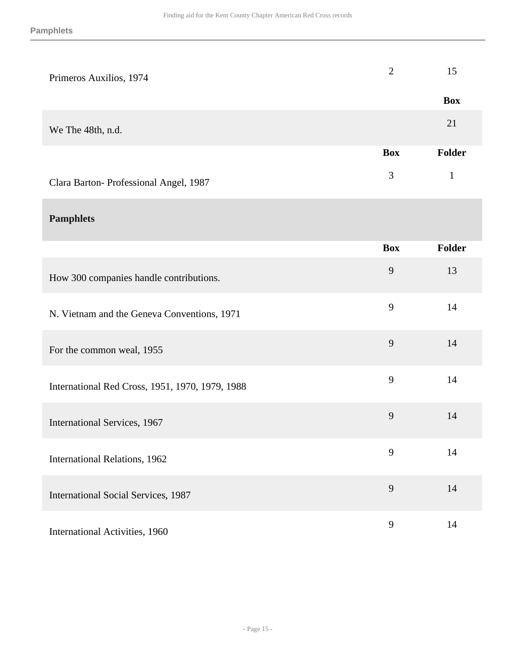| Primeros Auxilios, 1974                         | $\overline{2}$ | 15           |
|-------------------------------------------------|----------------|--------------|
|                                                 |                | <b>Box</b>   |
| We The 48th, n.d.                               |                | 21           |
|                                                 | <b>Box</b>     | Folder       |
| Clara Barton-Professional Angel, 1987           | 3              | $\mathbf{1}$ |
| <b>Pamphlets</b>                                |                |              |
|                                                 | <b>Box</b>     | Folder       |
| How 300 companies handle contributions.         | 9              | 13           |
| N. Vietnam and the Geneva Conventions, 1971     | 9              | 14           |
| For the common weal, 1955                       | 9              | 14           |
| International Red Cross, 1951, 1970, 1979, 1988 | 9              | 14           |
| International Services, 1967                    | 9              | 14           |
| International Relations, 1962                   | 9              | 14           |
| International Social Services, 1987             | 9              | 14           |
| International Activities, 1960                  | $\mathbf{9}$   | 14           |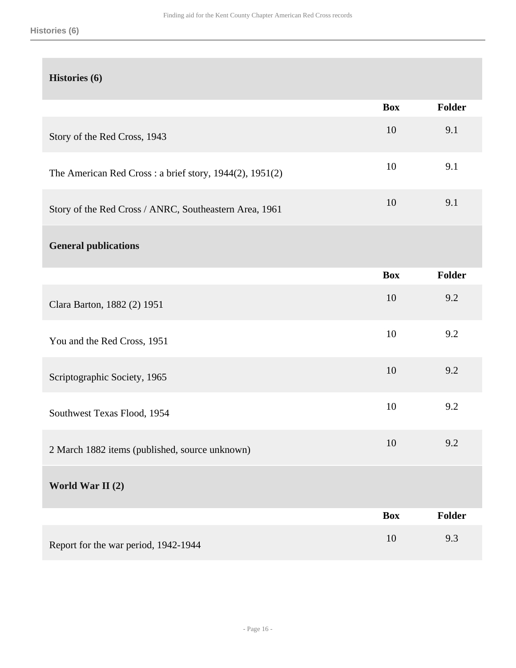#### **Histories (6)**

|                                                         | <b>Box</b> | Folder |
|---------------------------------------------------------|------------|--------|
| Story of the Red Cross, 1943                            | 10         | 9.1    |
| The American Red Cross: a brief story, 1944(2), 1951(2) | 10         | 9.1    |
| Story of the Red Cross / ANRC, Southeastern Area, 1961  | 10         | 9.1    |
| <b>General publications</b>                             |            |        |
|                                                         | <b>Box</b> | Folder |
| Clara Barton, 1882 (2) 1951                             | 10         | 9.2    |
| You and the Red Cross, 1951                             | 10         | 9.2    |
| Scriptographic Society, 1965                            | 10         | 9.2    |
| Southwest Texas Flood, 1954                             | 10         | 9.2    |
| 2 March 1882 items (published, source unknown)          | 10         | 9.2    |
| World War II (2)                                        |            |        |
|                                                         | <b>Box</b> | Folder |
| Report for the war period, 1942-1944                    | 10         | 9.3    |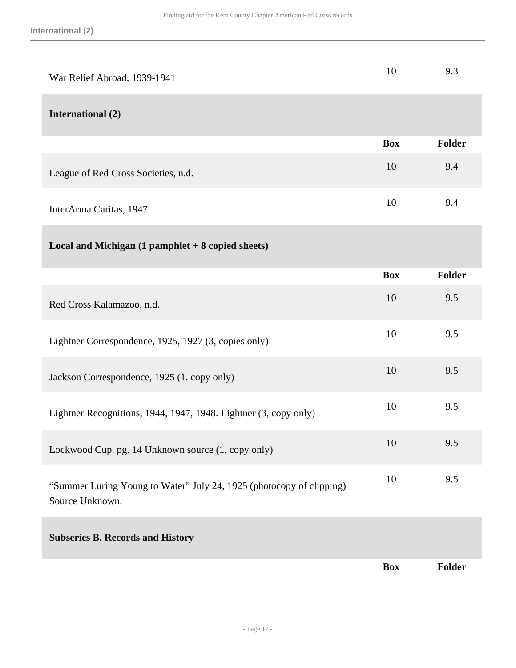| War Relief Abroad, 1939-1941                                                            | 10         | 9.3           |
|-----------------------------------------------------------------------------------------|------------|---------------|
| <b>International (2)</b>                                                                |            |               |
|                                                                                         | <b>Box</b> | <b>Folder</b> |
| League of Red Cross Societies, n.d.                                                     | 10         | 9.4           |
| InterArma Caritas, 1947                                                                 | 10         | 9.4           |
| Local and Michigan (1 pamphlet + 8 copied sheets)                                       |            |               |
|                                                                                         | <b>Box</b> | <b>Folder</b> |
| Red Cross Kalamazoo, n.d.                                                               | 10         | 9.5           |
| Lightner Correspondence, 1925, 1927 (3, copies only)                                    | 10         | 9.5           |
| Jackson Correspondence, 1925 (1. copy only)                                             | 10         | 9.5           |
| Lightner Recognitions, 1944, 1947, 1948. Lightner (3, copy only)                        | 10         | 9.5           |
| Lockwood Cup. pg. 14 Unknown source (1, copy only)                                      | 10         | 9.5           |
| "Summer Luring Young to Water" July 24, 1925 (photocopy of clipping)<br>Source Unknown. | 10         | 9.5           |
| <b>Subseries B. Records and History</b>                                                 |            |               |
|                                                                                         | <b>Box</b> | <b>Folder</b> |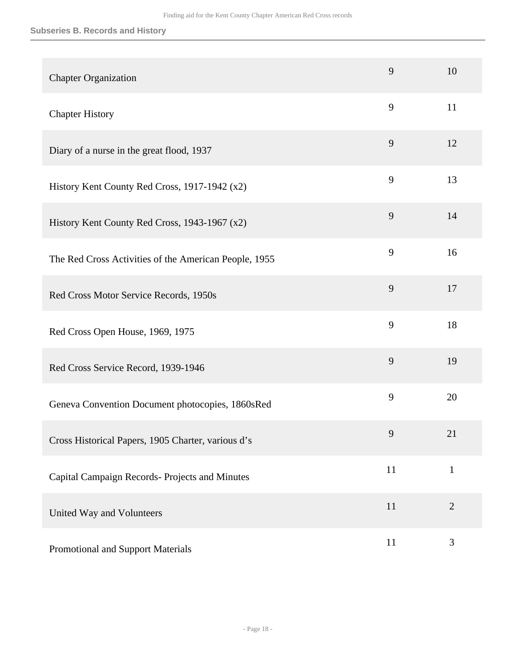#### **Subseries B. Records and History**

| <b>Chapter Organization</b>                           | 9  | 10           |
|-------------------------------------------------------|----|--------------|
| <b>Chapter History</b>                                | 9  | 11           |
| Diary of a nurse in the great flood, 1937             | 9  | 12           |
| History Kent County Red Cross, 1917-1942 (x2)         | 9  | 13           |
| History Kent County Red Cross, 1943-1967 (x2)         | 9  | 14           |
| The Red Cross Activities of the American People, 1955 | 9  | 16           |
| Red Cross Motor Service Records, 1950s                | 9  | 17           |
| Red Cross Open House, 1969, 1975                      | 9  | 18           |
| Red Cross Service Record, 1939-1946                   | 9  | 19           |
| Geneva Convention Document photocopies, 1860sRed      | 9  | 20           |
| Cross Historical Papers, 1905 Charter, various d's    | 9  | 21           |
| Capital Campaign Records- Projects and Minutes        | 11 | $\mathbf{1}$ |
| United Way and Volunteers                             | 11 | $\mathbf{2}$ |
| Promotional and Support Materials                     | 11 | 3            |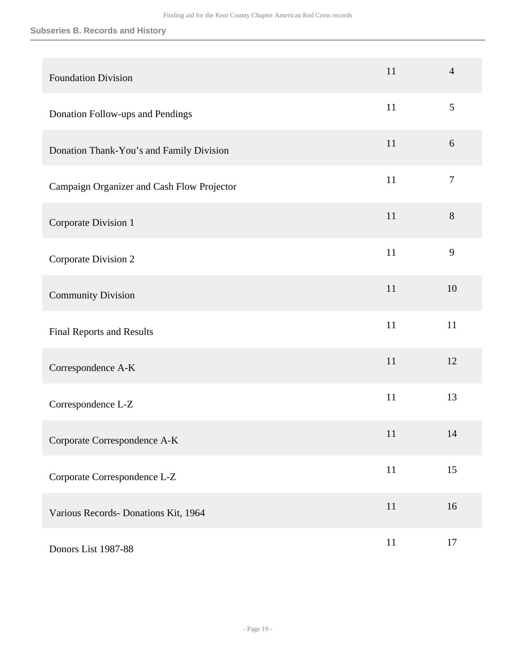#### **Subseries B. Records and History**

| <b>Foundation Division</b>                 | 11 | $\overline{4}$   |
|--------------------------------------------|----|------------------|
| Donation Follow-ups and Pendings           | 11 | 5                |
| Donation Thank-You's and Family Division   | 11 | 6                |
| Campaign Organizer and Cash Flow Projector | 11 | $\boldsymbol{7}$ |
| Corporate Division 1                       | 11 | $8\,$            |
| Corporate Division 2                       | 11 | 9                |
| <b>Community Division</b>                  | 11 | 10               |
| Final Reports and Results                  | 11 | 11               |
| Correspondence A-K                         | 11 | 12               |
| Correspondence L-Z                         | 11 | 13               |
| Corporate Correspondence A-K               | 11 | 14               |
| Corporate Correspondence L-Z               | 11 | 15               |
| Various Records- Donations Kit, 1964       | 11 | 16               |
| Donors List 1987-88                        | 11 | 17               |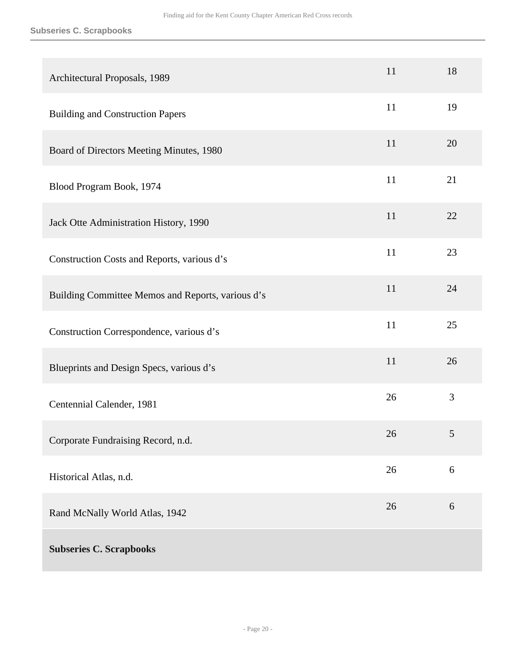#### **Subseries C. Scrapbooks**

| Architectural Proposals, 1989                     | 11 | 18 |
|---------------------------------------------------|----|----|
| <b>Building and Construction Papers</b>           | 11 | 19 |
| Board of Directors Meeting Minutes, 1980          | 11 | 20 |
| Blood Program Book, 1974                          | 11 | 21 |
| Jack Otte Administration History, 1990            | 11 | 22 |
| Construction Costs and Reports, various d's       | 11 | 23 |
| Building Committee Memos and Reports, various d's | 11 | 24 |
| Construction Correspondence, various d's          | 11 | 25 |
| Blueprints and Design Specs, various d's          | 11 | 26 |
| Centennial Calender, 1981                         | 26 | 3  |
| Corporate Fundraising Record, n.d.                | 26 | 5  |
| Historical Atlas, n.d.                            | 26 | 6  |
| Rand McNally World Atlas, 1942                    | 26 | 6  |
| <b>Subseries C. Scrapbooks</b>                    |    |    |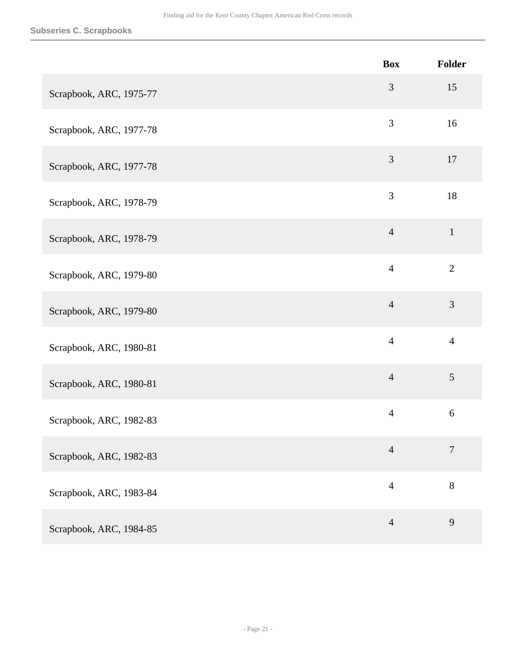|                         | <b>Box</b>     | Folder         |
|-------------------------|----------------|----------------|
| Scrapbook, ARC, 1975-77 | 3              | 15             |
| Scrapbook, ARC, 1977-78 | 3              | 16             |
| Scrapbook, ARC, 1977-78 | 3              | 17             |
| Scrapbook, ARC, 1978-79 | 3              | 18             |
| Scrapbook, ARC, 1978-79 | $\overline{4}$ | $\mathbf{1}$   |
| Scrapbook, ARC, 1979-80 | $\overline{4}$ | $\overline{2}$ |
| Scrapbook, ARC, 1979-80 | $\overline{4}$ | $\mathfrak{Z}$ |
| Scrapbook, ARC, 1980-81 | $\overline{4}$ | $\overline{4}$ |
| Scrapbook, ARC, 1980-81 | $\overline{4}$ | $\mathfrak{S}$ |
| Scrapbook, ARC, 1982-83 | $\overline{4}$ | 6              |
| Scrapbook, ARC, 1982-83 | $\overline{4}$ | $\overline{7}$ |
| Scrapbook, ARC, 1983-84 | $\overline{4}$ | 8              |
| Scrapbook, ARC, 1984-85 | $\overline{4}$ | 9              |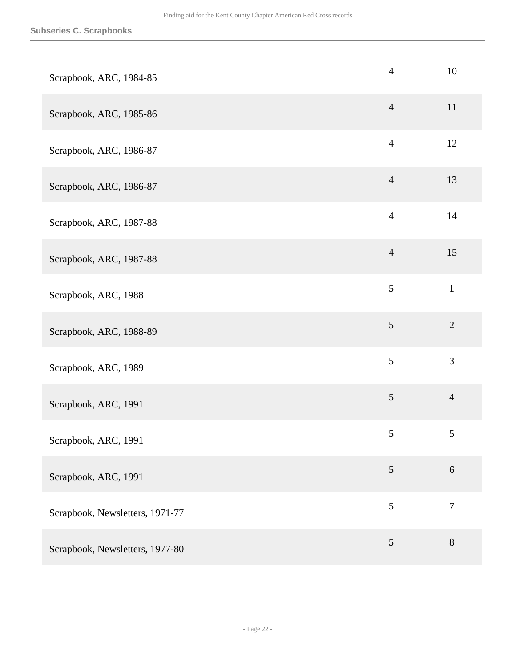| Scrapbook, ARC, 1984-85         | $\overline{4}$ | 10             |
|---------------------------------|----------------|----------------|
| Scrapbook, ARC, 1985-86         | $\overline{4}$ | 11             |
| Scrapbook, ARC, 1986-87         | $\overline{4}$ | 12             |
| Scrapbook, ARC, 1986-87         | $\overline{4}$ | 13             |
| Scrapbook, ARC, 1987-88         | $\overline{4}$ | 14             |
| Scrapbook, ARC, 1987-88         | $\overline{4}$ | 15             |
| Scrapbook, ARC, 1988            | 5              | $\mathbf{1}$   |
| Scrapbook, ARC, 1988-89         | $\mathfrak{S}$ | $\overline{2}$ |
| Scrapbook, ARC, 1989            | 5              | $\mathfrak{Z}$ |
| Scrapbook, ARC, 1991            | $\mathfrak{S}$ | $\overline{4}$ |
| Scrapbook, ARC, 1991            | $\sqrt{5}$     | $\sqrt{5}$     |
| Scrapbook, ARC, 1991            | 5              | $6\,$          |
| Scrapbook, Newsletters, 1971-77 | 5              | $\overline{7}$ |
| Scrapbook, Newsletters, 1977-80 | 5              | $8\,$          |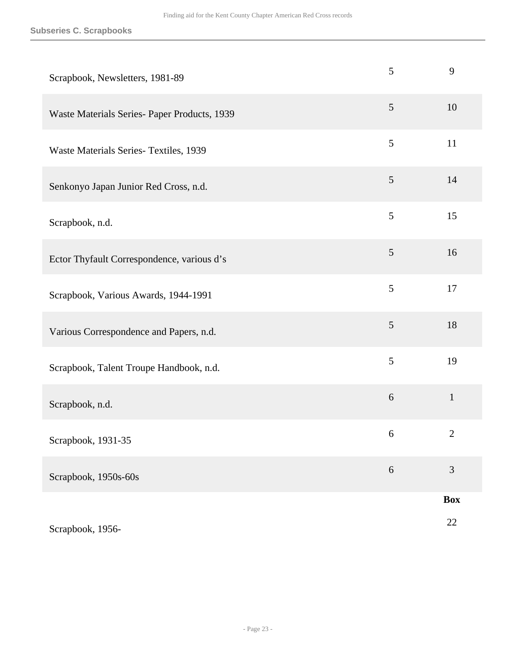#### **Subseries C. Scrapbooks**

| Scrapbook, Newsletters, 1981-89              | 5                | 9              |
|----------------------------------------------|------------------|----------------|
| Waste Materials Series- Paper Products, 1939 | $\mathfrak{S}$   | 10             |
| Waste Materials Series- Textiles, 1939       | 5                | 11             |
| Senkonyo Japan Junior Red Cross, n.d.        | $\mathfrak{S}$   | 14             |
| Scrapbook, n.d.                              | 5                | 15             |
| Ector Thyfault Correspondence, various d's   | $\mathfrak{S}$   | 16             |
| Scrapbook, Various Awards, 1944-1991         | 5                | 17             |
| Various Correspondence and Papers, n.d.      | $\mathfrak{S}$   | 18             |
| Scrapbook, Talent Troupe Handbook, n.d.      | 5                | 19             |
| Scrapbook, n.d.                              | $\boldsymbol{6}$ | $\mathbf{1}$   |
| Scrapbook, 1931-35                           | 6                | $\overline{2}$ |
| Scrapbook, 1950s-60s                         | $\sqrt{6}$       | 3              |
|                                              |                  | <b>Box</b>     |
| Scrapbook, 1956-                             |                  | 22             |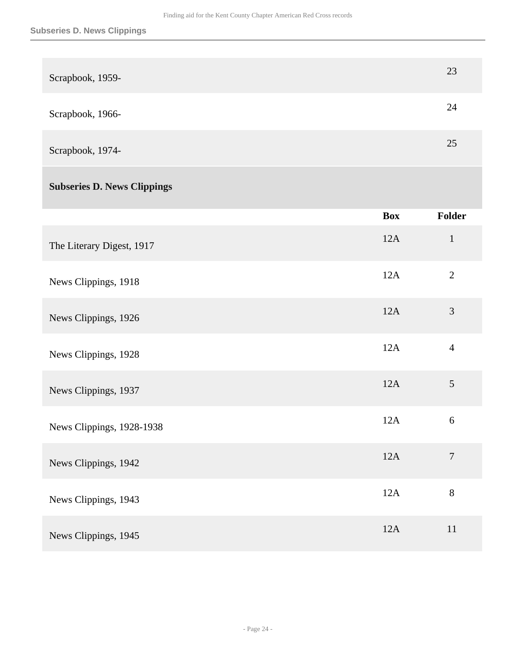| Scrapbook, 1959-                   |            | 23           |
|------------------------------------|------------|--------------|
| Scrapbook, 1966-                   |            | 24           |
| Scrapbook, 1974-                   |            | 25           |
| <b>Subseries D. News Clippings</b> |            |              |
|                                    | <b>Box</b> | Folder       |
| The Literary Digest, 1917          | 12A        | $\mathbf{1}$ |

| News Clippings, 1918      | 12A | $\overline{2}$ |
|---------------------------|-----|----------------|
| News Clippings, 1926      | 12A | $\mathfrak{Z}$ |
| News Clippings, 1928      | 12A | $\overline{4}$ |
| News Clippings, 1937      | 12A | $\mathfrak{S}$ |
| News Clippings, 1928-1938 | 12A | 6              |
| News Clippings, 1942      | 12A | $\overline{7}$ |
| News Clippings, 1943      | 12A | 8              |
| News Clippings, 1945      | 12A | 11             |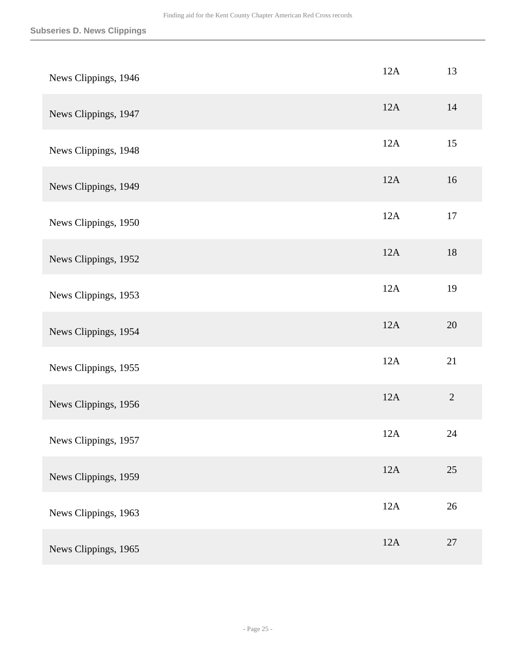| News Clippings, 1946 | 12A | 13             |
|----------------------|-----|----------------|
| News Clippings, 1947 | 12A | 14             |
| News Clippings, 1948 | 12A | 15             |
| News Clippings, 1949 | 12A | 16             |
| News Clippings, 1950 | 12A | $17\,$         |
| News Clippings, 1952 | 12A | 18             |
| News Clippings, 1953 | 12A | 19             |
| News Clippings, 1954 | 12A | 20             |
| News Clippings, 1955 | 12A | 21             |
| News Clippings, 1956 | 12A | $\overline{2}$ |
| News Clippings, 1957 | 12A | 24             |
| News Clippings, 1959 | 12A | 25             |
| News Clippings, 1963 | 12A | 26             |
| News Clippings, 1965 | 12A | 27             |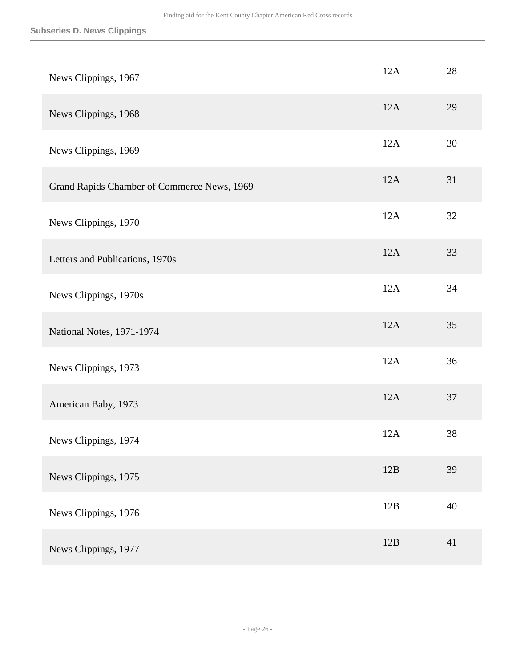| News Clippings, 1967                        | 12A | 28 |
|---------------------------------------------|-----|----|
| News Clippings, 1968                        | 12A | 29 |
| News Clippings, 1969                        | 12A | 30 |
| Grand Rapids Chamber of Commerce News, 1969 | 12A | 31 |
| News Clippings, 1970                        | 12A | 32 |
| Letters and Publications, 1970s             | 12A | 33 |
| News Clippings, 1970s                       | 12A | 34 |
| National Notes, 1971-1974                   | 12A | 35 |
| News Clippings, 1973                        | 12A | 36 |
| American Baby, 1973                         | 12A | 37 |
| News Clippings, 1974                        | 12A | 38 |
| News Clippings, 1975                        | 12B | 39 |
| News Clippings, 1976                        | 12B | 40 |
| News Clippings, 1977                        | 12B | 41 |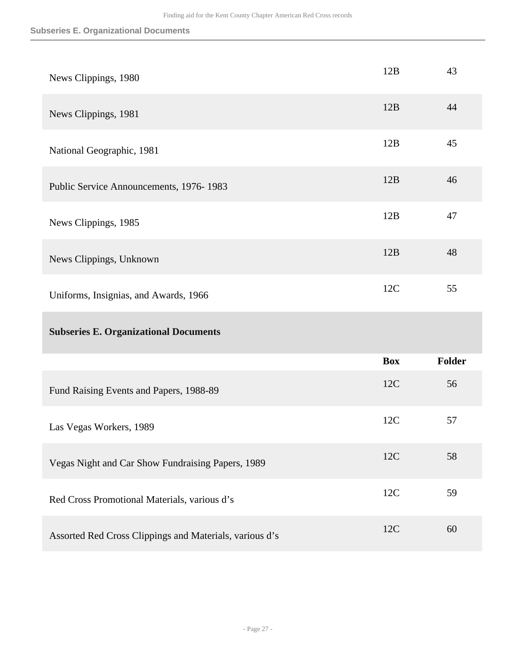#### **Subseries E. Organizational Documents**

| News Clippings, 1980                              | 12B        | 43            |
|---------------------------------------------------|------------|---------------|
| News Clippings, 1981                              | 12B        | 44            |
| National Geographic, 1981                         | 12B        | 45            |
| Public Service Announcements, 1976-1983           | 12B        | 46            |
| News Clippings, 1985                              | 12B        | 47            |
| News Clippings, Unknown                           | 12B        | 48            |
| Uniforms, Insignias, and Awards, 1966             | 12C        | 55            |
|                                                   |            |               |
| <b>Subseries E. Organizational Documents</b>      |            |               |
|                                                   | <b>Box</b> | <b>Folder</b> |
| Fund Raising Events and Papers, 1988-89           | 12C        | 56            |
| Las Vegas Workers, 1989                           | 12C        | 57            |
| Vegas Night and Car Show Fundraising Papers, 1989 | 12C        | 58            |
| Red Cross Promotional Materials, various d's      | 12C        | 59            |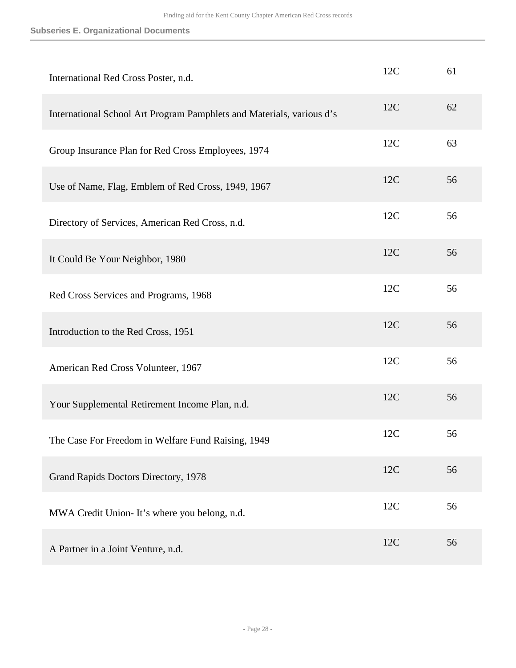#### **Subseries E. Organizational Documents**

| International Red Cross Poster, n.d.                                  | 12C | 61 |
|-----------------------------------------------------------------------|-----|----|
| International School Art Program Pamphlets and Materials, various d's | 12C | 62 |
| Group Insurance Plan for Red Cross Employees, 1974                    | 12C | 63 |
| Use of Name, Flag, Emblem of Red Cross, 1949, 1967                    | 12C | 56 |
| Directory of Services, American Red Cross, n.d.                       | 12C | 56 |
| It Could Be Your Neighbor, 1980                                       | 12C | 56 |
| Red Cross Services and Programs, 1968                                 | 12C | 56 |
| Introduction to the Red Cross, 1951                                   | 12C | 56 |
| American Red Cross Volunteer, 1967                                    | 12C | 56 |
| Your Supplemental Retirement Income Plan, n.d.                        | 12C | 56 |
| The Case For Freedom in Welfare Fund Raising, 1949                    | 12C | 56 |
| Grand Rapids Doctors Directory, 1978                                  | 12C | 56 |
| MWA Credit Union-It's where you belong, n.d.                          | 12C | 56 |
| A Partner in a Joint Venture, n.d.                                    | 12C | 56 |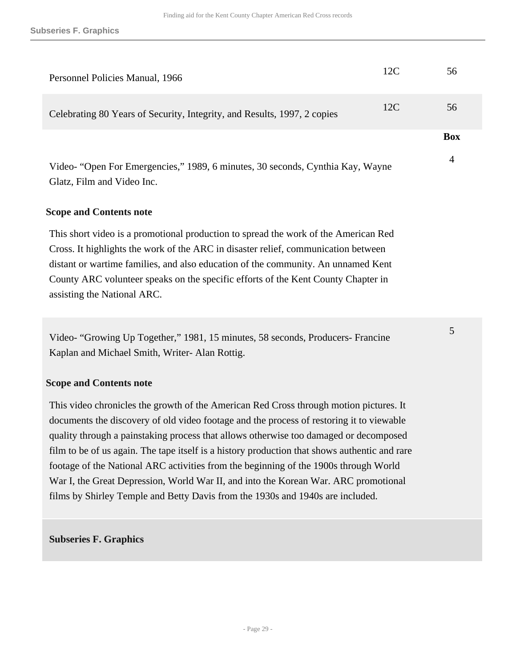| Personnel Policies Manual, 1966                                                                              | 12C | 56         |
|--------------------------------------------------------------------------------------------------------------|-----|------------|
| Celebrating 80 Years of Security, Integrity, and Results, 1997, 2 copies                                     | 12C | 56         |
|                                                                                                              |     | <b>Box</b> |
| Video- "Open For Emergencies," 1989, 6 minutes, 30 seconds, Cynthia Kay, Wayne<br>Glatz, Film and Video Inc. |     | 4          |

5

#### **Scope and Contents note**

This short video is a promotional production to spread the work of the American Red Cross. It highlights the work of the ARC in disaster relief, communication between distant or wartime families, and also education of the community. An unnamed Kent County ARC volunteer speaks on the specific efforts of the Kent County Chapter in assisting the National ARC.

Video- "Growing Up Together," 1981, 15 minutes, 58 seconds, Producers- Francine Kaplan and Michael Smith, Writer- Alan Rottig.

#### **Scope and Contents note**

This video chronicles the growth of the American Red Cross through motion pictures. It documents the discovery of old video footage and the process of restoring it to viewable quality through a painstaking process that allows otherwise too damaged or decomposed film to be of us again. The tape itself is a history production that shows authentic and rare footage of the National ARC activities from the beginning of the 1900s through World War I, the Great Depression, World War II, and into the Korean War. ARC promotional films by Shirley Temple and Betty Davis from the 1930s and 1940s are included.

#### **Subseries F. Graphics**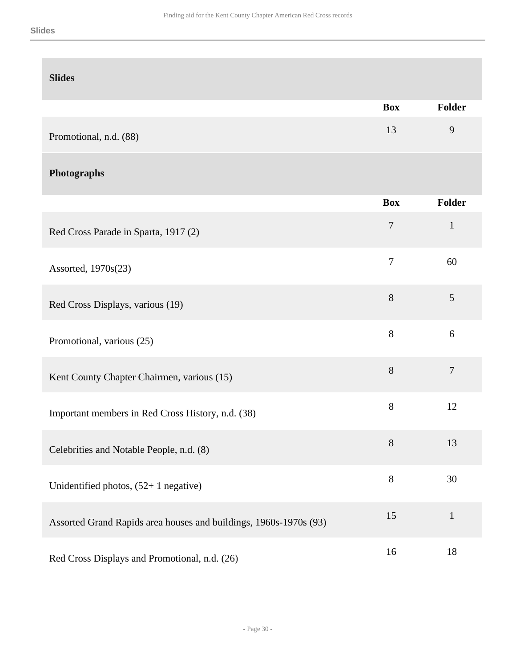| <b>Slides</b>                                                     |                |                |
|-------------------------------------------------------------------|----------------|----------------|
|                                                                   | <b>Box</b>     | Folder         |
| Promotional, n.d. (88)                                            | 13             | 9              |
| Photographs                                                       |                |                |
|                                                                   | <b>Box</b>     | Folder         |
| Red Cross Parade in Sparta, 1917 (2)                              | $\overline{7}$ | $\mathbf 1$    |
| Assorted, 1970s(23)                                               | $\overline{7}$ | 60             |
| Red Cross Displays, various (19)                                  | 8              | 5              |
| Promotional, various (25)                                         | $8\,$          | 6              |
| Kent County Chapter Chairmen, various (15)                        | $8\,$          | $\overline{7}$ |
| Important members in Red Cross History, n.d. (38)                 | $8\,$          | 12             |
| Celebrities and Notable People, n.d. (8)                          | $8\,$          | 13             |
| Unidentified photos, $(52+1)$ negative)                           | $8\,$          | 30             |
| Assorted Grand Rapids area houses and buildings, 1960s-1970s (93) | 15             | $\mathbf{1}$   |
| Red Cross Displays and Promotional, n.d. (26)                     | 16             | 18             |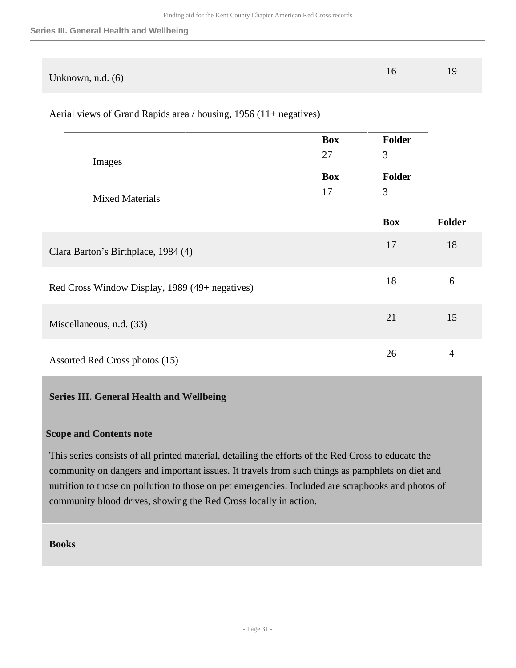| Unknown, n.d. $(6)$ |  |
|---------------------|--|

Aerial views of Grand Rapids area / housing, 1956 (11+ negatives)

|                                                | Box        | <b>Folder</b>  |        |
|------------------------------------------------|------------|----------------|--------|
| Images                                         | 27         | $\mathfrak{Z}$ |        |
|                                                | <b>Box</b> | <b>Folder</b>  |        |
| <b>Mixed Materials</b>                         | 17         | $\mathfrak{Z}$ |        |
|                                                |            | <b>Box</b>     | Folder |
| Clara Barton's Birthplace, 1984 (4)            |            | 17             | 18     |
| Red Cross Window Display, 1989 (49+ negatives) |            | 18             | 6      |
| Miscellaneous, n.d. (33)                       |            | 21             | 15     |
| Assorted Red Cross photos (15)                 |            | 26             | 4      |

#### <span id="page-30-0"></span>**Series III. General Health and Wellbeing**

#### **Scope and Contents note**

This series consists of all printed material, detailing the efforts of the Red Cross to educate the community on dangers and important issues. It travels from such things as pamphlets on diet and nutrition to those on pollution to those on pet emergencies. Included are scrapbooks and photos of community blood drives, showing the Red Cross locally in action.

**Books**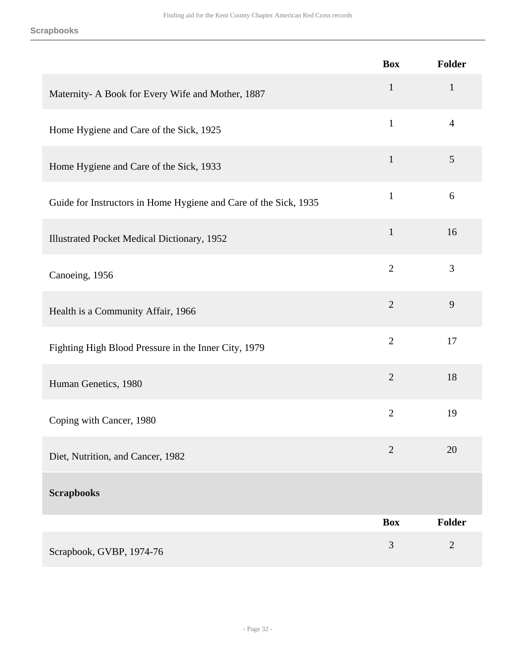|                                                                  | <b>Box</b>     | Folder         |
|------------------------------------------------------------------|----------------|----------------|
| Maternity- A Book for Every Wife and Mother, 1887                | $\mathbf{1}$   | $\mathbf{1}$   |
| Home Hygiene and Care of the Sick, 1925                          | $\mathbf{1}$   | $\overline{4}$ |
| Home Hygiene and Care of the Sick, 1933                          | $\mathbf{1}$   | 5              |
| Guide for Instructors in Home Hygiene and Care of the Sick, 1935 | $\mathbf{1}$   | 6              |
| Illustrated Pocket Medical Dictionary, 1952                      | $\mathbf{1}$   | 16             |
| Canoeing, 1956                                                   | $\overline{2}$ | 3              |
| Health is a Community Affair, 1966                               | $\overline{2}$ | 9              |
| Fighting High Blood Pressure in the Inner City, 1979             | $\overline{2}$ | 17             |
| Human Genetics, 1980                                             | $\mathbf{2}$   | 18             |
| Coping with Cancer, 1980                                         | $\overline{2}$ | 19             |
| Diet, Nutrition, and Cancer, 1982                                | $\overline{2}$ | 20             |
| <b>Scrapbooks</b>                                                |                |                |
|                                                                  | <b>Box</b>     | Folder         |
| Scrapbook, GVBP, 1974-76                                         | 3              | $\overline{2}$ |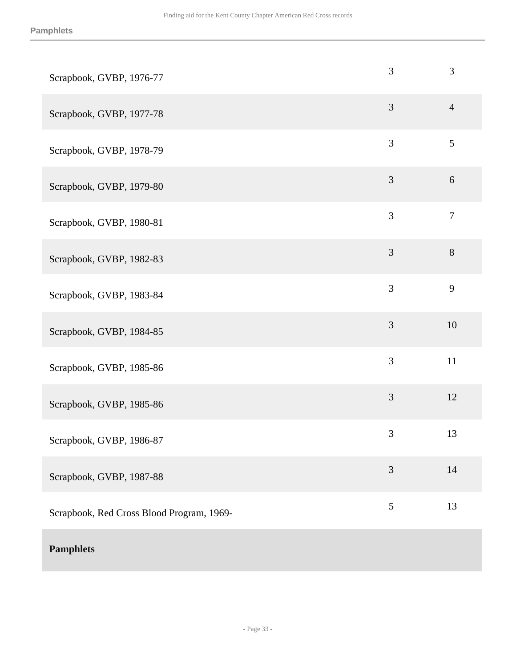| Scrapbook, GVBP, 1976-77                  | 3              | 3                |
|-------------------------------------------|----------------|------------------|
| Scrapbook, GVBP, 1977-78                  | $\overline{3}$ | $\overline{4}$   |
| Scrapbook, GVBP, 1978-79                  | $\mathfrak{Z}$ | 5                |
| Scrapbook, GVBP, 1979-80                  | $\mathfrak{Z}$ | 6                |
| Scrapbook, GVBP, 1980-81                  | 3              | $\boldsymbol{7}$ |
| Scrapbook, GVBP, 1982-83                  | $\mathfrak{Z}$ | $8\,$            |
| Scrapbook, GVBP, 1983-84                  | 3              | 9                |
| Scrapbook, GVBP, 1984-85                  | $\mathfrak{Z}$ | 10               |
| Scrapbook, GVBP, 1985-86                  | $\mathfrak{Z}$ | 11               |
| Scrapbook, GVBP, 1985-86                  | $\mathfrak{Z}$ | 12               |
| Scrapbook, GVBP, 1986-87                  | $\mathfrak{Z}$ | 13               |
| Scrapbook, GVBP, 1987-88                  | $\mathfrak{Z}$ | 14               |
| Scrapbook, Red Cross Blood Program, 1969- | $\mathfrak{S}$ | 13               |
| <b>Pamphlets</b>                          |                |                  |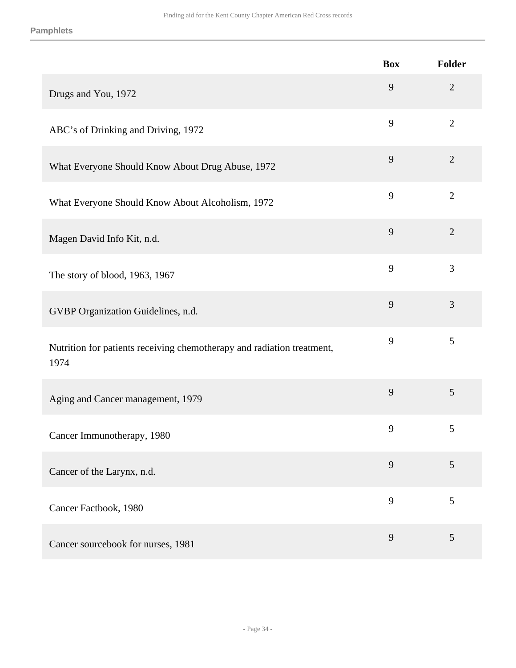|                                                                                | <b>Box</b> | <b>Folder</b>  |
|--------------------------------------------------------------------------------|------------|----------------|
| Drugs and You, 1972                                                            | 9          | $\mathfrak{2}$ |
| ABC's of Drinking and Driving, 1972                                            | 9          | $\overline{2}$ |
| What Everyone Should Know About Drug Abuse, 1972                               | 9          | $\overline{2}$ |
| What Everyone Should Know About Alcoholism, 1972                               | 9          | $\overline{2}$ |
| Magen David Info Kit, n.d.                                                     | 9          | $\overline{2}$ |
| The story of blood, 1963, 1967                                                 | 9          | 3              |
| GVBP Organization Guidelines, n.d.                                             | 9          | 3              |
| Nutrition for patients receiving chemotherapy and radiation treatment,<br>1974 | 9          | 5              |
| Aging and Cancer management, 1979                                              | 9          | 5              |
| Cancer Immunotherapy, 1980                                                     | 9          | 5              |
| Cancer of the Larynx, n.d.                                                     | 9          | 5              |
| Cancer Factbook, 1980                                                          | 9          | 5              |
| Cancer sourcebook for nurses, 1981                                             | 9          | 5              |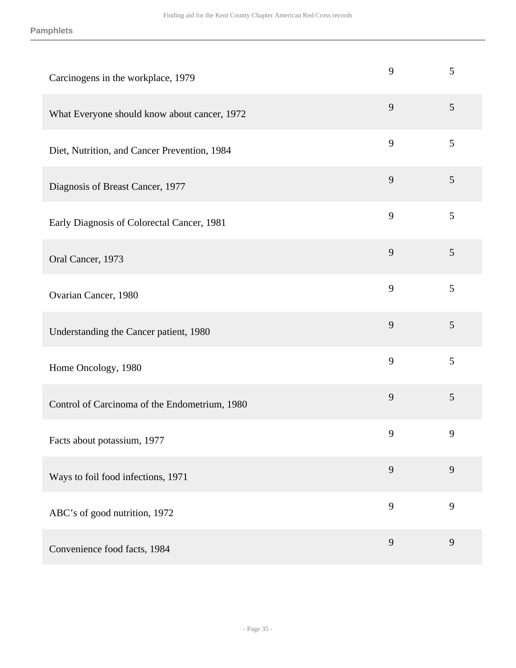| Carcinogens in the workplace, 1979            | 9 | 5              |
|-----------------------------------------------|---|----------------|
| What Everyone should know about cancer, 1972  | 9 | 5              |
| Diet, Nutrition, and Cancer Prevention, 1984  | 9 | 5              |
| Diagnosis of Breast Cancer, 1977              | 9 | 5              |
| Early Diagnosis of Colorectal Cancer, 1981    | 9 | 5              |
| Oral Cancer, 1973                             | 9 | $\mathfrak{S}$ |
| Ovarian Cancer, 1980                          | 9 | 5              |
| Understanding the Cancer patient, 1980        | 9 | 5              |
| Home Oncology, 1980                           | 9 | 5              |
| Control of Carcinoma of the Endometrium, 1980 | 9 | 5              |
| Facts about potassium, 1977                   | 9 | 9              |
| Ways to foil food infections, 1971            | 9 | 9              |
| ABC's of good nutrition, 1972                 | 9 | 9              |
| Convenience food facts, 1984                  | 9 | 9              |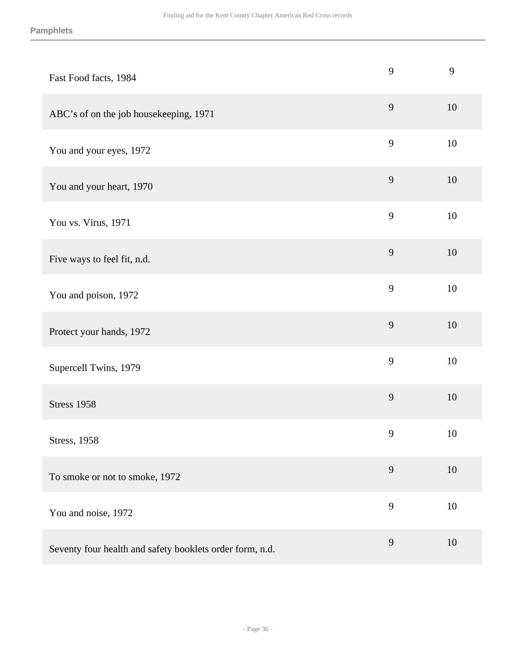| Fast Food facts, 1984                                    | 9 | 9  |
|----------------------------------------------------------|---|----|
| ABC's of on the job housekeeping, 1971                   | 9 | 10 |
| You and your eyes, 1972                                  | 9 | 10 |
| You and your heart, 1970                                 | 9 | 10 |
| You vs. Virus, 1971                                      | 9 | 10 |
| Five ways to feel fit, n.d.                              | 9 | 10 |
| You and poison, 1972                                     | 9 | 10 |
| Protect your hands, 1972                                 | 9 | 10 |
| Supercell Twins, 1979                                    | 9 | 10 |
| <b>Stress 1958</b>                                       | 9 | 10 |
| <b>Stress</b> , 1958                                     | 9 | 10 |
| To smoke or not to smoke, 1972                           | 9 | 10 |
| You and noise, 1972                                      | 9 | 10 |
| Seventy four health and safety booklets order form, n.d. | 9 | 10 |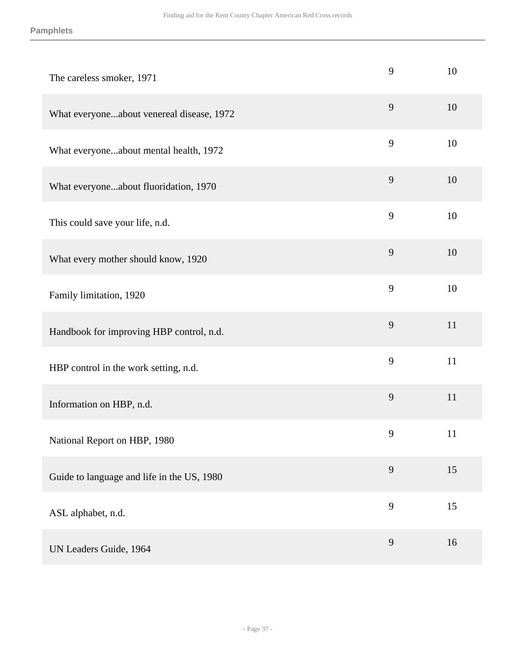| The careless smoker, 1971                  | 9 | 10 |
|--------------------------------------------|---|----|
| What everyoneabout venereal disease, 1972  | 9 | 10 |
| What everyoneabout mental health, 1972     | 9 | 10 |
| What everyoneabout fluoridation, 1970      | 9 | 10 |
| This could save your life, n.d.            | 9 | 10 |
| What every mother should know, 1920        | 9 | 10 |
| Family limitation, 1920                    | 9 | 10 |
| Handbook for improving HBP control, n.d.   | 9 | 11 |
| HBP control in the work setting, n.d.      | 9 | 11 |
| Information on HBP, n.d.                   | 9 | 11 |
| National Report on HBP, 1980               | 9 | 11 |
| Guide to language and life in the US, 1980 | 9 | 15 |
| ASL alphabet, n.d.                         | 9 | 15 |
| UN Leaders Guide, 1964                     | 9 | 16 |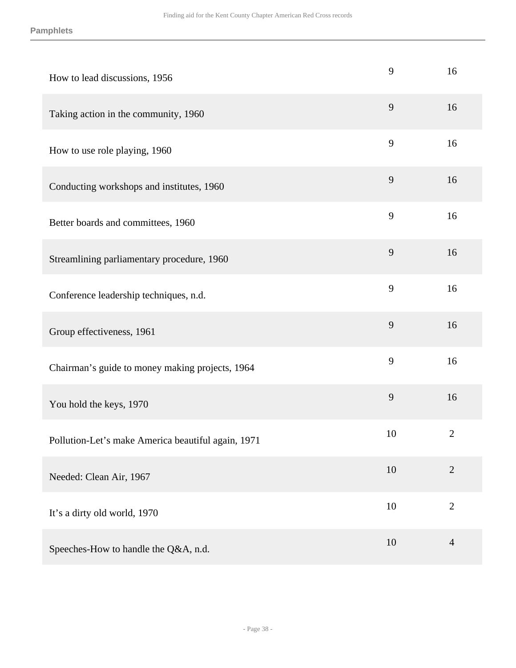#### **Pamphlets**

| How to lead discussions, 1956                      | 9  | 16             |
|----------------------------------------------------|----|----------------|
| Taking action in the community, 1960               | 9  | 16             |
| How to use role playing, 1960                      | 9  | 16             |
| Conducting workshops and institutes, 1960          | 9  | 16             |
| Better boards and committees, 1960                 | 9  | 16             |
| Streamlining parliamentary procedure, 1960         | 9  | 16             |
| Conference leadership techniques, n.d.             | 9  | 16             |
| Group effectiveness, 1961                          | 9  | 16             |
| Chairman's guide to money making projects, 1964    | 9  | 16             |
| You hold the keys, 1970                            | 9  | 16             |
| Pollution-Let's make America beautiful again, 1971 | 10 | $\mathbf{2}$   |
| Needed: Clean Air, 1967                            | 10 | $\overline{2}$ |
| It's a dirty old world, 1970                       | 10 | $\mathbf{2}$   |
| Speeches-How to handle the Q&A, n.d.               | 10 | $\overline{4}$ |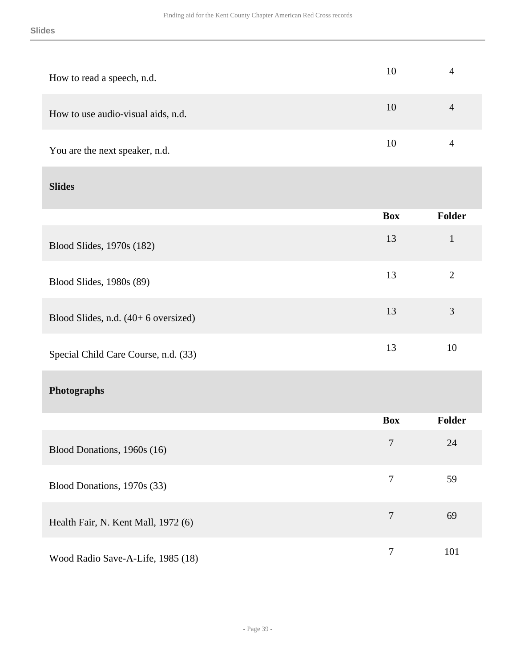| How to read a speech, n.d.           | 10               | $\overline{4}$ |
|--------------------------------------|------------------|----------------|
| How to use audio-visual aids, n.d.   | 10               | $\overline{4}$ |
| You are the next speaker, n.d.       | 10               | $\overline{4}$ |
| <b>Slides</b>                        |                  |                |
|                                      | <b>Box</b>       | <b>Folder</b>  |
| Blood Slides, 1970s (182)            | 13               | $\mathbf{1}$   |
| Blood Slides, 1980s (89)             | 13               | $\overline{2}$ |
| Blood Slides, n.d. (40+ 6 oversized) | 13               | 3              |
| Special Child Care Course, n.d. (33) | 13               | 10             |
| Photographs                          |                  |                |
|                                      | <b>Box</b>       | Folder         |
| Blood Donations, 1960s (16)          | $\overline{7}$   | 24             |
| Blood Donations, 1970s (33)          | $\tau$           | 59             |
| Health Fair, N. Kent Mall, 1972 (6)  | $\tau$           | 69             |
| Wood Radio Save-A-Life, 1985 (18)    | $\boldsymbol{7}$ | 101            |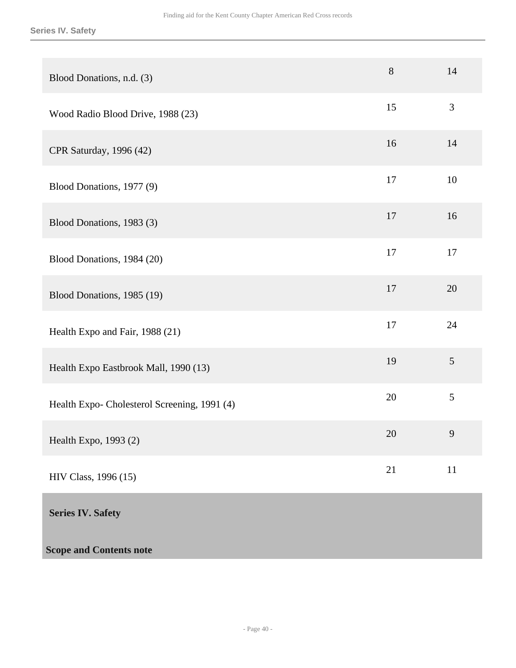#### **Series IV. Safety**

<span id="page-39-0"></span>

| Blood Donations, n.d. (3)                    | 8  | 14     |
|----------------------------------------------|----|--------|
| Wood Radio Blood Drive, 1988 (23)            | 15 | 3      |
| CPR Saturday, 1996 (42)                      | 16 | 14     |
| Blood Donations, 1977 (9)                    | 17 | 10     |
| Blood Donations, 1983 (3)                    | 17 | 16     |
| Blood Donations, 1984 (20)                   | 17 | 17     |
| Blood Donations, 1985 (19)                   | 17 | 20     |
| Health Expo and Fair, 1988 (21)              | 17 | 24     |
| Health Expo Eastbrook Mall, 1990 (13)        | 19 | 5      |
| Health Expo- Cholesterol Screening, 1991 (4) | 20 | 5      |
| Health Expo, 1993 (2)                        | 20 | 9      |
| HIV Class, 1996 (15)                         | 21 | $11\,$ |
| <b>Series IV. Safety</b>                     |    |        |
| <b>Scope and Contents note</b>               |    |        |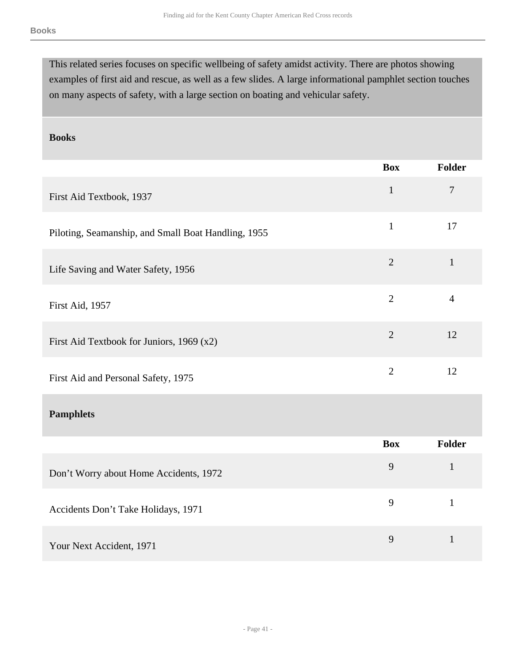This related series focuses on specific wellbeing of safety amidst activity. There are photos showing examples of first aid and rescue, as well as a few slides. A large informational pamphlet section touches on many aspects of safety, with a large section on boating and vehicular safety.

#### **Books**

|                                                     | <b>Box</b>     | <b>Folder</b>  |
|-----------------------------------------------------|----------------|----------------|
| First Aid Textbook, 1937                            | $\mathbf{1}$   | $\overline{7}$ |
| Piloting, Seamanship, and Small Boat Handling, 1955 | $\mathbf{1}$   | 17             |
| Life Saving and Water Safety, 1956                  | $\overline{2}$ | $\mathbf{1}$   |
| First Aid, 1957                                     | $\overline{2}$ | $\overline{4}$ |
| First Aid Textbook for Juniors, 1969 (x2)           | $\overline{2}$ | 12             |
| First Aid and Personal Safety, 1975                 | $\overline{2}$ | 12             |
| <b>Pamphlets</b>                                    |                |                |
|                                                     | <b>Box</b>     | <b>Folder</b>  |
| Don't Worry about Home Accidents, 1972              | 9              | $\mathbf{1}$   |
| Accidents Don't Take Holidays, 1971                 | 9              | $\mathbf{1}$   |
| Your Next Accident, 1971                            | 9              | $\mathbf{1}$   |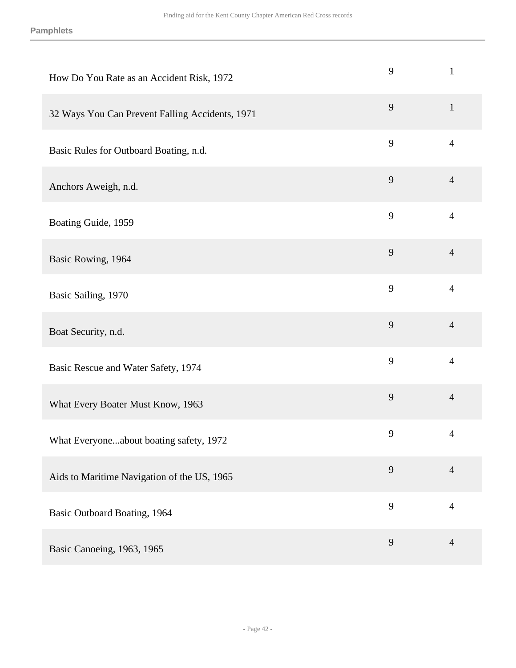| How Do You Rate as an Accident Risk, 1972       | 9 | $\mathbf{1}$   |
|-------------------------------------------------|---|----------------|
| 32 Ways You Can Prevent Falling Accidents, 1971 | 9 | $\mathbf{1}$   |
| Basic Rules for Outboard Boating, n.d.          | 9 | $\overline{4}$ |
| Anchors Aweigh, n.d.                            | 9 | $\overline{4}$ |
| Boating Guide, 1959                             | 9 | $\overline{4}$ |
| Basic Rowing, 1964                              | 9 | $\overline{4}$ |
| Basic Sailing, 1970                             | 9 | $\overline{4}$ |
| Boat Security, n.d.                             | 9 | $\overline{4}$ |
| Basic Rescue and Water Safety, 1974             | 9 | $\overline{4}$ |
| What Every Boater Must Know, 1963               | 9 | $\overline{4}$ |
| What Everyoneabout boating safety, 1972         | 9 | 4              |
| Aids to Maritime Navigation of the US, 1965     | 9 | $\overline{4}$ |
| <b>Basic Outboard Boating, 1964</b>             | 9 | $\overline{4}$ |
| Basic Canoeing, 1963, 1965                      | 9 | $\overline{4}$ |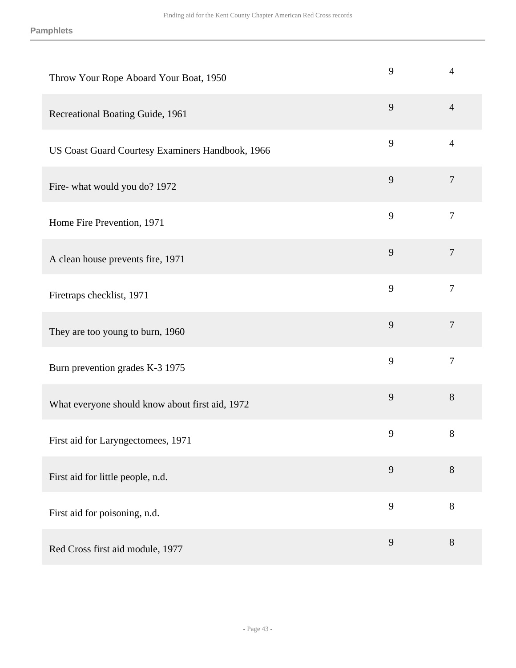| Throw Your Rope Aboard Your Boat, 1950           | 9 | $\overline{4}$ |
|--------------------------------------------------|---|----------------|
| Recreational Boating Guide, 1961                 | 9 | $\overline{4}$ |
| US Coast Guard Courtesy Examiners Handbook, 1966 | 9 | $\overline{4}$ |
| Fire-what would you do? 1972                     | 9 | $\overline{7}$ |
| Home Fire Prevention, 1971                       | 9 | $\overline{7}$ |
| A clean house prevents fire, 1971                | 9 | $\overline{7}$ |
| Firetraps checklist, 1971                        | 9 | $\overline{7}$ |
| They are too young to burn, 1960                 | 9 | $\tau$         |
| Burn prevention grades K-3 1975                  | 9 | $\overline{7}$ |
| What everyone should know about first aid, 1972  | 9 | $8\,$          |
| First aid for Laryngectomees, 1971               | 9 | $8\,$          |
| First aid for little people, n.d.                | 9 | $8\,$          |
| First aid for poisoning, n.d.                    | 9 | $8\,$          |
| Red Cross first aid module, 1977                 | 9 | $8\,$          |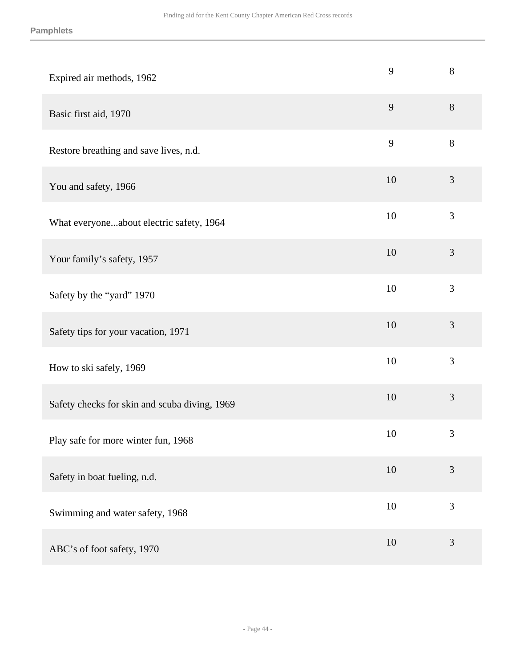| Expired air methods, 1962                     | 9      | $8\,$          |
|-----------------------------------------------|--------|----------------|
| Basic first aid, 1970                         | 9      | 8              |
| Restore breathing and save lives, n.d.        | 9      | 8              |
| You and safety, 1966                          | 10     | $\mathfrak{Z}$ |
| What everyoneabout electric safety, 1964      | 10     | 3              |
| Your family's safety, 1957                    | 10     | $\mathfrak{Z}$ |
| Safety by the "yard" 1970                     | 10     | 3              |
| Safety tips for your vacation, 1971           | 10     | $\mathfrak{Z}$ |
| How to ski safely, 1969                       | 10     | 3              |
| Safety checks for skin and scuba diving, 1969 | 10     | 3              |
| Play safe for more winter fun, 1968           | 10     | 3              |
| Safety in boat fueling, n.d.                  | $10\,$ | $\mathfrak{Z}$ |
| Swimming and water safety, 1968               | 10     | 3              |
| ABC's of foot safety, 1970                    | 10     | $\mathfrak{Z}$ |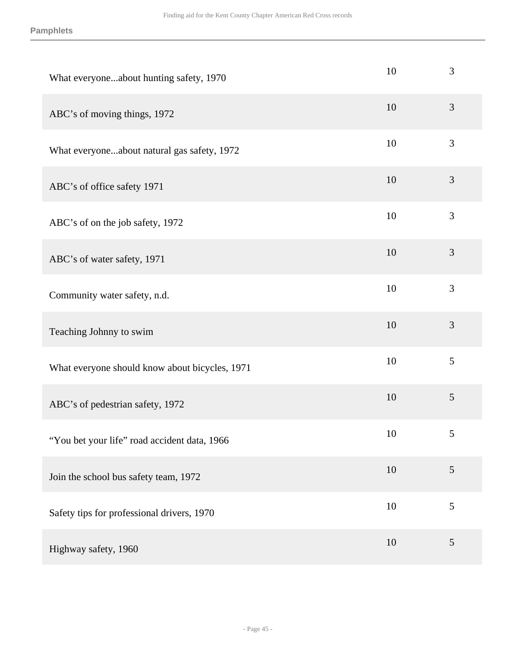| What everyoneabout hunting safety, 1970        | 10 | 3              |
|------------------------------------------------|----|----------------|
| ABC's of moving things, 1972                   | 10 | 3              |
| What everyoneabout natural gas safety, 1972    | 10 | 3              |
| ABC's of office safety 1971                    | 10 | $\mathfrak{Z}$ |
| ABC's of on the job safety, 1972               | 10 | 3              |
| ABC's of water safety, 1971                    | 10 | $\mathfrak{Z}$ |
| Community water safety, n.d.                   | 10 | 3              |
| Teaching Johnny to swim                        | 10 | $\mathfrak{Z}$ |
| What everyone should know about bicycles, 1971 | 10 | 5              |
| ABC's of pedestrian safety, 1972               | 10 | $\mathfrak{S}$ |
| "You bet your life" road accident data, 1966   | 10 | $\mathfrak{S}$ |
| Join the school bus safety team, 1972          | 10 | 5              |
| Safety tips for professional drivers, 1970     | 10 | 5              |
| Highway safety, 1960                           | 10 | $\mathfrak{S}$ |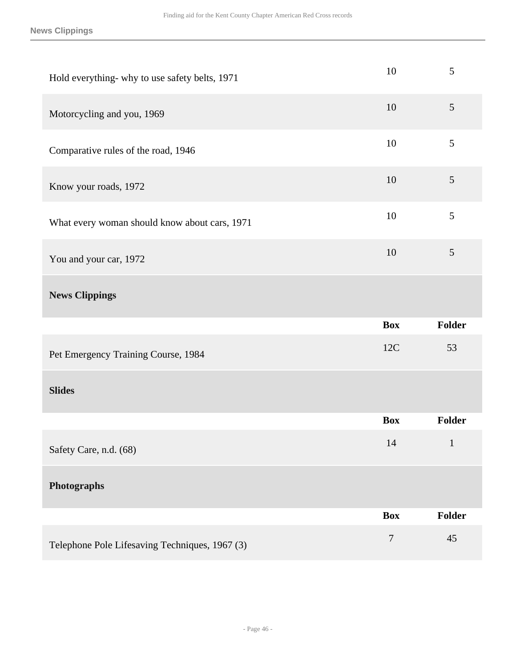| Hold everything- why to use safety belts, 1971 | 10         | 5            |
|------------------------------------------------|------------|--------------|
| Motorcycling and you, 1969                     | 10         | 5            |
| Comparative rules of the road, 1946            | 10         | 5            |
| Know your roads, 1972                          | 10         | 5            |
| What every woman should know about cars, 1971  | 10         | 5            |
| You and your car, 1972                         | 10         | 5            |
| <b>News Clippings</b>                          |            |              |
|                                                |            |              |
|                                                | <b>Box</b> | Folder       |
| Pet Emergency Training Course, 1984            | 12C        | 53           |
| <b>Slides</b>                                  |            |              |
|                                                | <b>Box</b> | Folder       |
| Safety Care, n.d. (68)                         | 14         | $\mathbf{1}$ |
| Photographs                                    |            |              |
|                                                | <b>Box</b> | Folder       |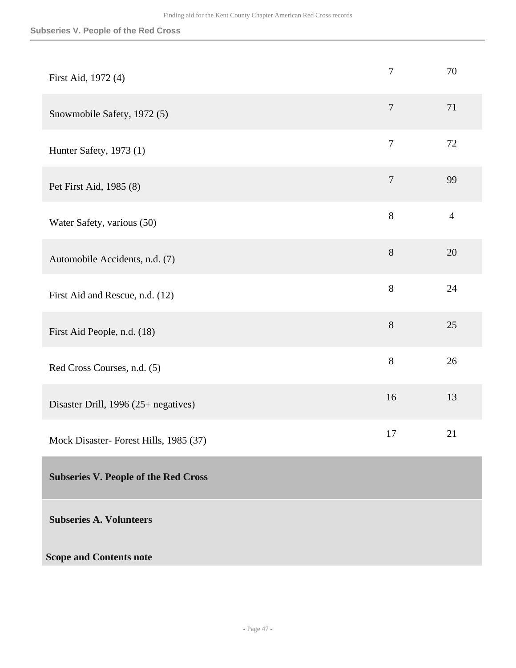#### **Subseries V. People of the Red Cross**

<span id="page-46-0"></span>

| First Aid, 1972 (4)                         | $\tau$           | 70             |
|---------------------------------------------|------------------|----------------|
| Snowmobile Safety, 1972 (5)                 | $\boldsymbol{7}$ | 71             |
| Hunter Safety, 1973 (1)                     | $\overline{7}$   | 72             |
| Pet First Aid, 1985 (8)                     | $\tau$           | 99             |
| Water Safety, various (50)                  | 8                | $\overline{4}$ |
| Automobile Accidents, n.d. (7)              | 8                | 20             |
| First Aid and Rescue, n.d. (12)             | 8                | 24             |
| First Aid People, n.d. (18)                 | 8                | 25             |
| Red Cross Courses, n.d. (5)                 | 8                | 26             |
| Disaster Drill, $1996 (25 + negative)$      | 16               | 13             |
| Mock Disaster- Forest Hills, 1985 (37)      | 17               | 21             |
| <b>Subseries V. People of the Red Cross</b> |                  |                |
| <b>Subseries A. Volunteers</b>              |                  |                |
| <b>Scope and Contents note</b>              |                  |                |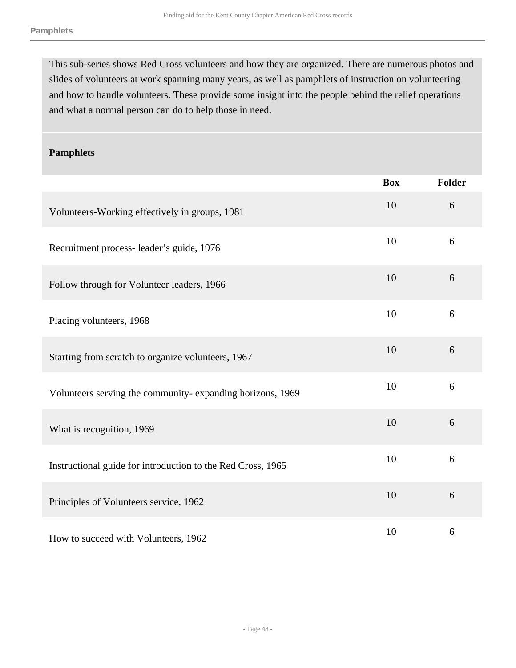This sub-series shows Red Cross volunteers and how they are organized. There are numerous photos and slides of volunteers at work spanning many years, as well as pamphlets of instruction on volunteering and how to handle volunteers. These provide some insight into the people behind the relief operations and what a normal person can do to help those in need.

#### **Pamphlets**

|                                                             | <b>Box</b> | Folder |
|-------------------------------------------------------------|------------|--------|
| Volunteers-Working effectively in groups, 1981              | 10         | 6      |
| Recruitment process- leader's guide, 1976                   | 10         | 6      |
| Follow through for Volunteer leaders, 1966                  | 10         | 6      |
| Placing volunteers, 1968                                    | 10         | 6      |
| Starting from scratch to organize volunteers, 1967          | 10         | 6      |
| Volunteers serving the community-expanding horizons, 1969   | 10         | 6      |
| What is recognition, 1969                                   | 10         | 6      |
| Instructional guide for introduction to the Red Cross, 1965 | 10         | 6      |
| Principles of Volunteers service, 1962                      | 10         | 6      |
| How to succeed with Volunteers, 1962                        | 10         | 6      |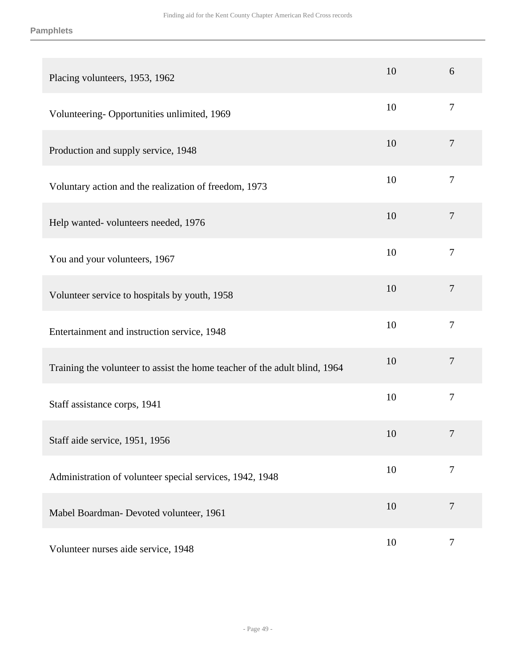| Placing volunteers, 1953, 1962                                             | 10 | 6              |
|----------------------------------------------------------------------------|----|----------------|
| Volunteering-Opportunities unlimited, 1969                                 | 10 | $\overline{7}$ |
| Production and supply service, 1948                                        | 10 | $\overline{7}$ |
| Voluntary action and the realization of freedom, 1973                      | 10 | $\tau$         |
| Help wanted-volunteers needed, 1976                                        | 10 | $\overline{7}$ |
| You and your volunteers, 1967                                              | 10 | $\tau$         |
| Volunteer service to hospitals by youth, 1958                              | 10 | $\overline{7}$ |
| Entertainment and instruction service, 1948                                | 10 | $\overline{7}$ |
| Training the volunteer to assist the home teacher of the adult blind, 1964 | 10 | $\overline{7}$ |
| Staff assistance corps, 1941                                               | 10 | $\overline{7}$ |
| Staff aide service, 1951, 1956                                             | 10 | 7              |
| Administration of volunteer special services, 1942, 1948                   | 10 | $\tau$         |
| Mabel Boardman- Devoted volunteer, 1961                                    | 10 | $\overline{7}$ |
| Volunteer nurses aide service, 1948                                        | 10 | $\tau$         |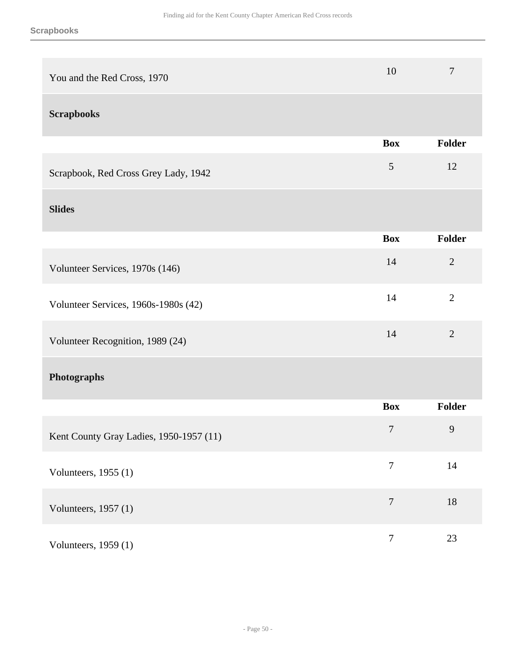| You and the Red Cross, 1970             | 10             | $\boldsymbol{7}$ |
|-----------------------------------------|----------------|------------------|
| <b>Scrapbooks</b>                       |                |                  |
|                                         | <b>Box</b>     | Folder           |
| Scrapbook, Red Cross Grey Lady, 1942    | 5              | 12               |
| <b>Slides</b>                           |                |                  |
|                                         | <b>Box</b>     | Folder           |
| Volunteer Services, 1970s (146)         | 14             | $\mathbf{2}$     |
| Volunteer Services, 1960s-1980s (42)    | 14             | $\overline{2}$   |
| Volunteer Recognition, 1989 (24)        | 14             | $\overline{2}$   |
| Photographs                             |                |                  |
|                                         | <b>Box</b>     | Folder           |
| Kent County Gray Ladies, 1950-1957 (11) | $\tau$         | 9                |
| Volunteers, 1955 (1)                    | $\overline{7}$ | 14               |
| Volunteers, 1957 (1)                    | $\overline{7}$ | 18               |
| Volunteers, 1959 (1)                    | $\overline{7}$ | 23               |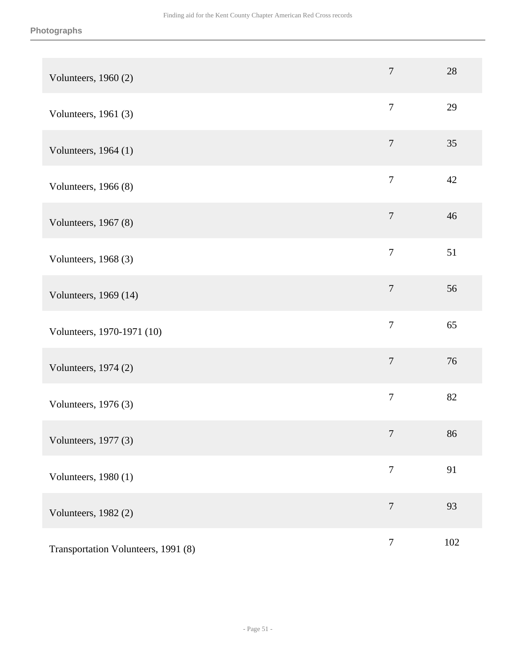| Volunteers, 1960 (2)                | $\overline{7}$   | 28  |
|-------------------------------------|------------------|-----|
| Volunteers, 1961 (3)                | $\overline{7}$   | 29  |
| Volunteers, 1964 (1)                | $\boldsymbol{7}$ | 35  |
| Volunteers, 1966 (8)                | $\overline{7}$   | 42  |
| Volunteers, 1967 (8)                | $\tau$           | 46  |
| Volunteers, 1968 (3)                | $\overline{7}$   | 51  |
| Volunteers, 1969 (14)               | $\overline{7}$   | 56  |
| Volunteers, 1970-1971 (10)          | $\overline{7}$   | 65  |
| Volunteers, 1974 (2)                | $\boldsymbol{7}$ | 76  |
| Volunteers, 1976 (3)                | $\tau$           | 82  |
| Volunteers, $1977(3)$               | $\overline{7}$   | 86  |
| Volunteers, 1980 (1)                | $\tau$           | 91  |
| Volunteers, 1982 (2)                | $\overline{7}$   | 93  |
| Transportation Volunteers, 1991 (8) | $\boldsymbol{7}$ | 102 |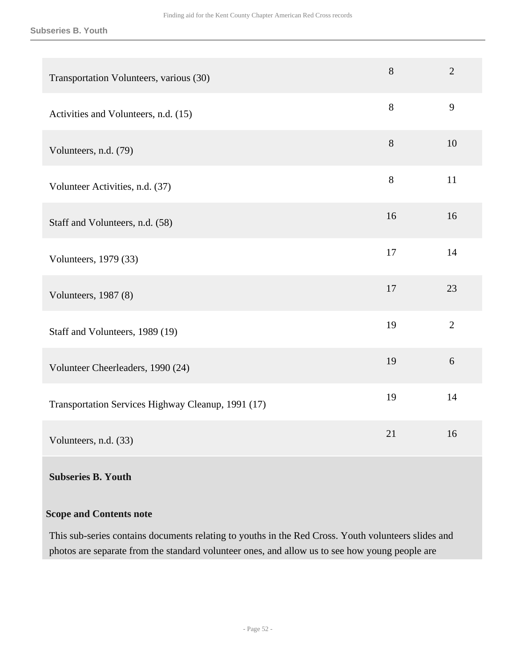#### **Subseries B. Youth**

| Transportation Volunteers, various (30)            | 8  | $\overline{2}$ |
|----------------------------------------------------|----|----------------|
| Activities and Volunteers, n.d. (15)               | 8  | 9              |
| Volunteers, n.d. (79)                              | 8  | 10             |
| Volunteer Activities, n.d. (37)                    | 8  | 11             |
| Staff and Volunteers, n.d. (58)                    | 16 | 16             |
| Volunteers, 1979 (33)                              | 17 | 14             |
| Volunteers, 1987 (8)                               | 17 | 23             |
| Staff and Volunteers, 1989 (19)                    | 19 | $\overline{2}$ |
| Volunteer Cheerleaders, 1990 (24)                  | 19 | 6              |
| Transportation Services Highway Cleanup, 1991 (17) | 19 | 14             |
| Volunteers, n.d. (33)                              | 21 | 16             |

#### **Subseries B. Youth**

#### **Scope and Contents note**

This sub-series contains documents relating to youths in the Red Cross. Youth volunteers slides and photos are separate from the standard volunteer ones, and allow us to see how young people are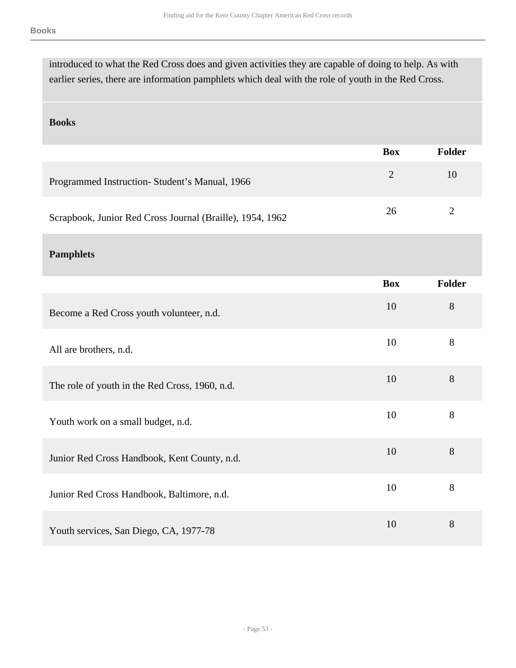| introduced to what the Red Cross does and given activities they are capable of doing to help. As with |  |
|-------------------------------------------------------------------------------------------------------|--|
| earlier series, there are information pamphlets which deal with the role of youth in the Red Cross.   |  |

#### **Books**

|                                                           | <b>Box</b> | Folder |
|-----------------------------------------------------------|------------|--------|
| Programmed Instruction - Student's Manual, 1966           |            | 10     |
| Scrapbook, Junior Red Cross Journal (Braille), 1954, 1962 | 26         |        |

#### **Pamphlets**

|                                                | <b>Box</b> | <b>Folder</b> |
|------------------------------------------------|------------|---------------|
| Become a Red Cross youth volunteer, n.d.       | 10         | 8             |
| All are brothers, n.d.                         | 10         | 8             |
| The role of youth in the Red Cross, 1960, n.d. | 10         | 8             |
| Youth work on a small budget, n.d.             | 10         | 8             |
| Junior Red Cross Handbook, Kent County, n.d.   | 10         | 8             |
| Junior Red Cross Handbook, Baltimore, n.d.     | 10         | 8             |
| Youth services, San Diego, CA, 1977-78         | 10         | 8             |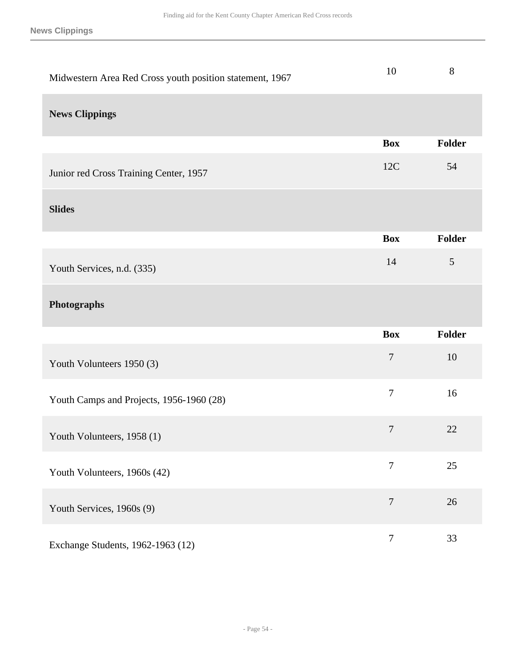**News Clippings**

| Midwestern Area Red Cross youth position statement, 1967 | 10               | $8\,$         |
|----------------------------------------------------------|------------------|---------------|
| <b>News Clippings</b>                                    |                  |               |
|                                                          | <b>Box</b>       | Folder        |
| Junior red Cross Training Center, 1957                   | 12C              | 54            |
| <b>Slides</b>                                            |                  |               |
|                                                          | <b>Box</b>       | <b>Folder</b> |
| Youth Services, n.d. (335)                               | 14               | 5             |
|                                                          |                  |               |
| Photographs                                              |                  |               |
|                                                          | <b>Box</b>       | Folder        |
| Youth Volunteers 1950 (3)                                | $\overline{7}$   | 10            |
| Youth Camps and Projects, 1956-1960 (28)                 | $\tau$           | 16            |
| Youth Volunteers, 1958 (1)                               | $\boldsymbol{7}$ | 22            |
| Youth Volunteers, 1960s (42)                             | $\tau$           | 25            |
| Youth Services, 1960s (9)                                | $\tau$           | 26            |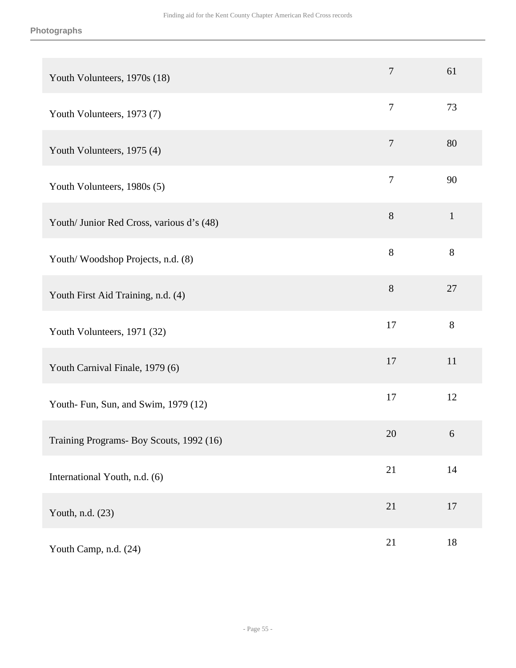| Youth Volunteers, 1970s (18)              | 7              | 61           |
|-------------------------------------------|----------------|--------------|
| Youth Volunteers, 1973 (7)                | $\overline{7}$ | 73           |
| Youth Volunteers, 1975 (4)                | $\overline{7}$ | 80           |
| Youth Volunteers, 1980s (5)               | $\overline{7}$ | 90           |
| Youth/ Junior Red Cross, various d's (48) | $8\,$          | $\mathbf{1}$ |
| Youth/Woodshop Projects, n.d. (8)         | 8              | $8\,$        |
| Youth First Aid Training, n.d. (4)        | 8              | 27           |
| Youth Volunteers, 1971 (32)               | 17             | 8            |
| Youth Carnival Finale, 1979 (6)           | 17             | 11           |
| Youth- Fun, Sun, and Swim, 1979 (12)      | 17             | 12           |
| Training Programs- Boy Scouts, 1992 (16)  | 20             | 6            |
| International Youth, n.d. (6)             | 21             | 14           |
| Youth, n.d. (23)                          | 21             | $17\,$       |
| Youth Camp, n.d. (24)                     | 21             | $18\,$       |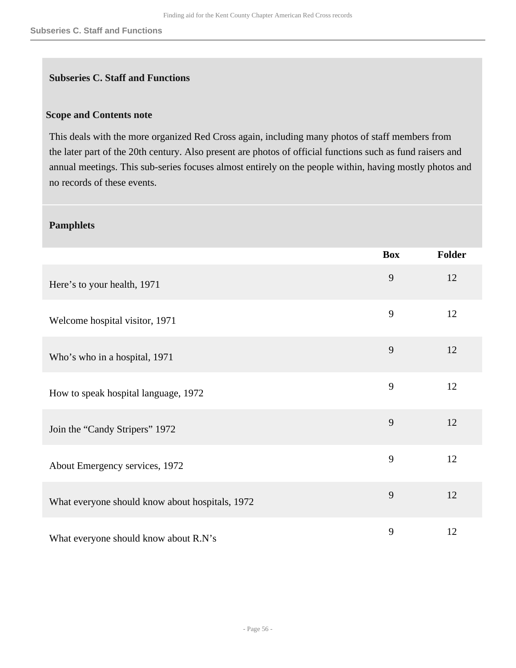#### **Subseries C. Staff and Functions**

#### **Scope and Contents note**

This deals with the more organized Red Cross again, including many photos of staff members from the later part of the 20th century. Also present are photos of official functions such as fund raisers and annual meetings. This sub-series focuses almost entirely on the people within, having mostly photos and no records of these events.

#### **Pamphlets**

|                                                 | <b>Box</b> | <b>Folder</b> |
|-------------------------------------------------|------------|---------------|
| Here's to your health, 1971                     | 9          | 12            |
| Welcome hospital visitor, 1971                  | 9          | 12            |
| Who's who in a hospital, 1971                   | 9          | 12            |
| How to speak hospital language, 1972            | 9          | 12            |
| Join the "Candy Stripers" 1972                  | 9          | 12            |
| About Emergency services, 1972                  | 9          | 12            |
| What everyone should know about hospitals, 1972 | 9          | 12            |
| What everyone should know about R.N's           | 9          | 12            |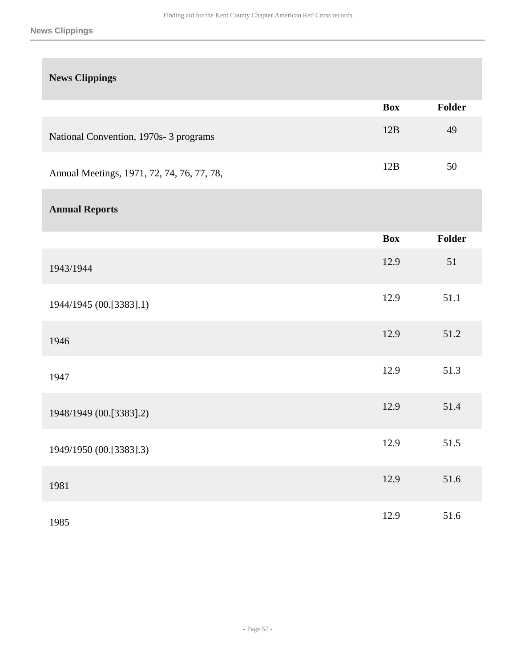#### **News Clippings**

| <b>News Clippings</b>                      |            |               |
|--------------------------------------------|------------|---------------|
|                                            | <b>Box</b> | <b>Folder</b> |
| National Convention, 1970s- 3 programs     | 12B        | 49            |
| Annual Meetings, 1971, 72, 74, 76, 77, 78, | 12B        | 50            |
| <b>Annual Reports</b>                      |            |               |
|                                            | <b>Box</b> | <b>Folder</b> |
| 1943/1944                                  | 12.9       | 51            |
| 1944/1945 (00.[3383].1)                    | 12.9       | 51.1          |
| 1946                                       | 12.9       | 51.2          |
| 1947                                       | 12.9       | 51.3          |
| 1948/1949 (00.[3383].2)                    | 12.9       | 51.4          |
| 1949/1950 (00.[3383].3)                    | 12.9       | 51.5          |
| 1981                                       | 12.9       | 51.6          |
| 1985                                       | 12.9       | 51.6          |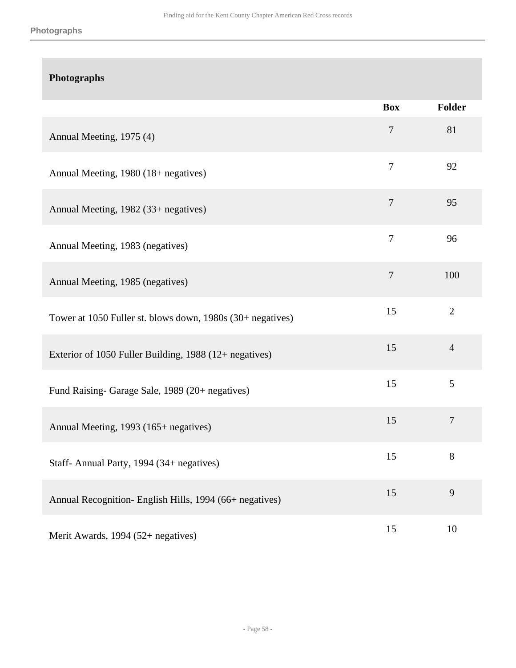|                                                            | <b>Box</b>     | Folder         |
|------------------------------------------------------------|----------------|----------------|
| Annual Meeting, 1975 (4)                                   | $\overline{7}$ | 81             |
| Annual Meeting, 1980 (18+ negatives)                       | $\overline{7}$ | 92             |
| Annual Meeting, 1982 (33+ negatives)                       | $\overline{7}$ | 95             |
| Annual Meeting, 1983 (negatives)                           | $\overline{7}$ | 96             |
| Annual Meeting, 1985 (negatives)                           | $\tau$         | 100            |
| Tower at 1050 Fuller st. blows down, 1980s (30+ negatives) | 15             | $\overline{2}$ |
| Exterior of 1050 Fuller Building, 1988 (12+ negatives)     | 15             | $\overline{4}$ |
| Fund Raising- Garage Sale, 1989 (20+ negatives)            | 15             | 5              |
| Annual Meeting, 1993 (165+ negatives)                      | 15             | $\tau$         |
| Staff-Annual Party, 1994 (34+ negatives)                   | 15             | 8              |
| Annual Recognition- English Hills, 1994 (66+ negatives)    | 15             | 9              |
| Merit Awards, 1994 (52+ negatives)                         | 15             | 10             |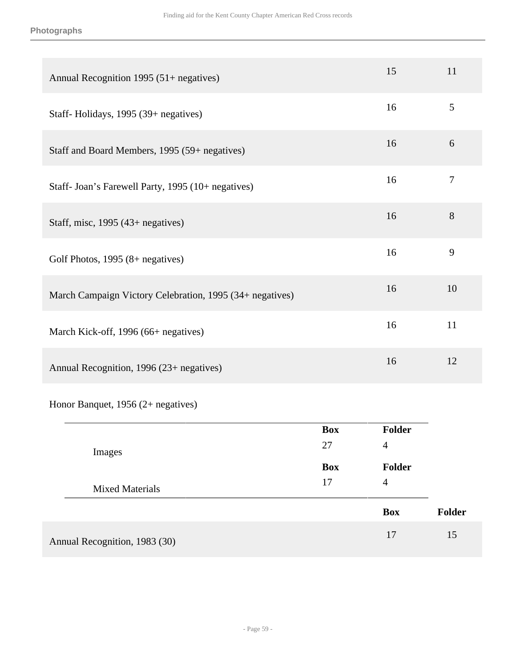| Annual Recognition 1995 (51+ negatives)                  | 15 | 11     |
|----------------------------------------------------------|----|--------|
| Staff-Holidays, 1995 (39+ negatives)                     | 16 | 5      |
| Staff and Board Members, 1995 (59+ negatives)            | 16 | 6      |
| Staff- Joan's Farewell Party, 1995 (10+ negatives)       | 16 | $\tau$ |
| Staff, misc, $1995(43)$ + negatives)                     | 16 | 8      |
| Golf Photos, 1995 (8+ negatives)                         | 16 | 9      |
| March Campaign Victory Celebration, 1995 (34+ negatives) | 16 | 10     |
| March Kick-off, 1996 (66+ negatives)                     | 16 | 11     |
| Annual Recognition, 1996 (23+ negatives)                 | 16 | 12     |

Honor Banquet, 1956 (2+ negatives)

|                               | <b>Box</b> | <b>Folder</b>  |               |
|-------------------------------|------------|----------------|---------------|
| Images                        | 27         | $\overline{4}$ |               |
|                               | <b>Box</b> | <b>Folder</b>  |               |
| <b>Mixed Materials</b>        | 17         | $\overline{4}$ |               |
|                               |            | <b>Box</b>     | <b>Folder</b> |
| Annual Recognition, 1983 (30) |            | 17             | 15            |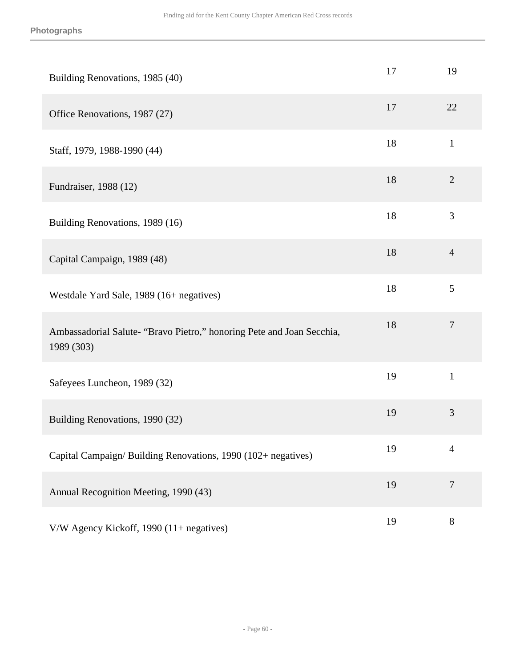| Building Renovations, 1985 (40)                                                     | 17 | 19             |
|-------------------------------------------------------------------------------------|----|----------------|
| Office Renovations, 1987 (27)                                                       | 17 | 22             |
| Staff, 1979, 1988-1990 (44)                                                         | 18 | $\mathbf{1}$   |
| Fundraiser, 1988 (12)                                                               | 18 | $\overline{2}$ |
| Building Renovations, 1989 (16)                                                     | 18 | 3              |
| Capital Campaign, 1989 (48)                                                         | 18 | $\overline{4}$ |
| Westdale Yard Sale, 1989 (16+ negatives)                                            | 18 | 5              |
| Ambassadorial Salute- "Bravo Pietro," honoring Pete and Joan Secchia,<br>1989 (303) | 18 | $\overline{7}$ |
| Safeyees Luncheon, 1989 (32)                                                        | 19 | $\mathbf{1}$   |
| Building Renovations, 1990 (32)                                                     | 19 | $\mathfrak{Z}$ |
| Capital Campaign/Building Renovations, 1990 (102+ negatives)                        | 19 | $\overline{4}$ |
| Annual Recognition Meeting, 1990 (43)                                               | 19 | $\tau$         |
| V/W Agency Kickoff, 1990 (11+ negatives)                                            | 19 | $8\,$          |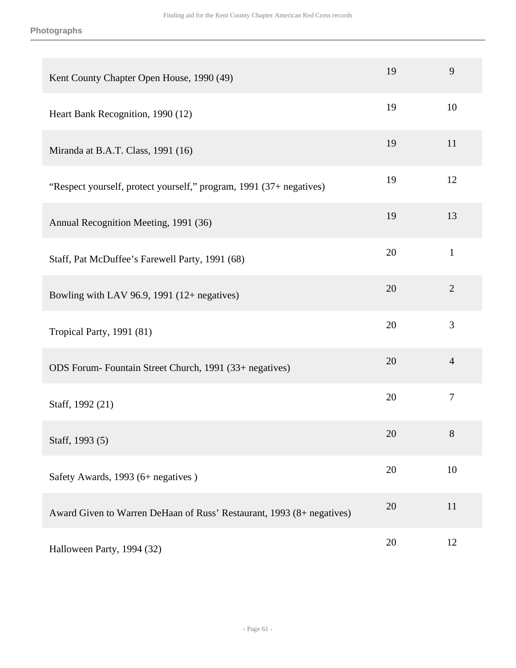| Kent County Chapter Open House, 1990 (49)                             | 19 | 9              |
|-----------------------------------------------------------------------|----|----------------|
| Heart Bank Recognition, 1990 (12)                                     | 19 | 10             |
| Miranda at B.A.T. Class, 1991 (16)                                    | 19 | 11             |
| "Respect yourself, protect yourself," program, 1991 (37+ negatives)   | 19 | 12             |
| Annual Recognition Meeting, 1991 (36)                                 | 19 | 13             |
| Staff, Pat McDuffee's Farewell Party, 1991 (68)                       | 20 | $\mathbf{1}$   |
| Bowling with LAV 96.9, 1991 $(12 +$ negatives)                        | 20 | $\overline{2}$ |
| Tropical Party, 1991 (81)                                             | 20 | 3              |
| ODS Forum-Fountain Street Church, 1991 (33+ negatives)                | 20 | $\overline{4}$ |
| Staff, 1992 (21)                                                      | 20 | $\overline{7}$ |
| Staff, 1993 (5)                                                       | 20 | $8\phantom{1}$ |
| Safety Awards, 1993 (6+ negatives)                                    | 20 | 10             |
| Award Given to Warren DeHaan of Russ' Restaurant, 1993 (8+ negatives) | 20 | 11             |
| Halloween Party, 1994 (32)                                            | 20 | 12             |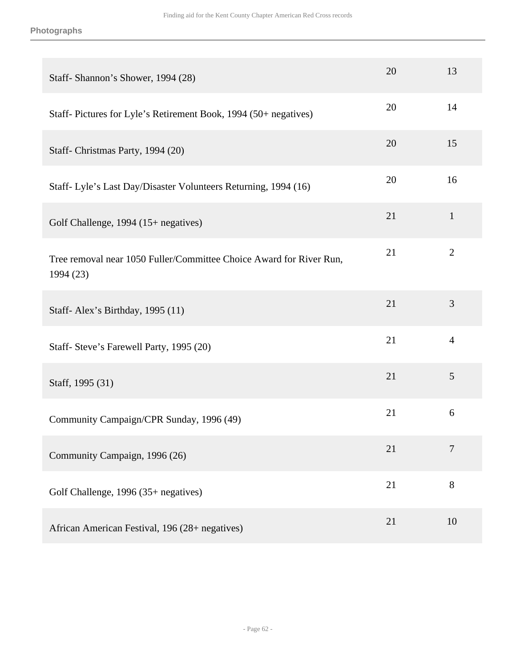| Staff-Shannon's Shower, 1994 (28)                                                | 20 | 13             |
|----------------------------------------------------------------------------------|----|----------------|
| Staff-Pictures for Lyle's Retirement Book, 1994 (50+ negatives)                  | 20 | 14             |
| Staff-Christmas Party, 1994 (20)                                                 | 20 | 15             |
| Staff- Lyle's Last Day/Disaster Volunteers Returning, 1994 (16)                  | 20 | 16             |
| Golf Challenge, 1994 (15+ negatives)                                             | 21 | $\mathbf{1}$   |
| Tree removal near 1050 Fuller/Committee Choice Award for River Run,<br>1994 (23) | 21 | $\overline{2}$ |
| Staff-Alex's Birthday, 1995 (11)                                                 | 21 | 3              |
| Staff- Steve's Farewell Party, 1995 (20)                                         | 21 | $\overline{4}$ |
| Staff, 1995 (31)                                                                 | 21 | 5              |
| Community Campaign/CPR Sunday, 1996 (49)                                         | 21 | 6              |
| Community Campaign, 1996 (26)                                                    | 21 | 7              |
| Golf Challenge, 1996 (35+ negatives)                                             | 21 | 8              |
| African American Festival, 196 (28+ negatives)                                   | 21 | 10             |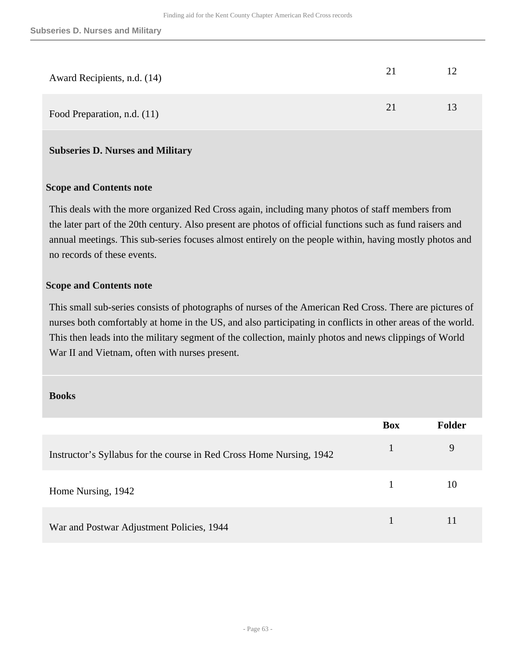| Award Recipients, n.d. (14) | 21 |    |
|-----------------------------|----|----|
| Food Preparation, n.d. (11) | 21 | 13 |

#### **Subseries D. Nurses and Military**

#### **Scope and Contents note**

This deals with the more organized Red Cross again, including many photos of staff members from the later part of the 20th century. Also present are photos of official functions such as fund raisers and annual meetings. This sub-series focuses almost entirely on the people within, having mostly photos and no records of these events.

#### **Scope and Contents note**

This small sub-series consists of photographs of nurses of the American Red Cross. There are pictures of nurses both comfortably at home in the US, and also participating in conflicts in other areas of the world. This then leads into the military segment of the collection, mainly photos and news clippings of World War II and Vietnam, often with nurses present.

#### **Books**

|                                                                      | <b>Box</b> | <b>Folder</b> |
|----------------------------------------------------------------------|------------|---------------|
| Instructor's Syllabus for the course in Red Cross Home Nursing, 1942 |            | 9             |
| Home Nursing, 1942                                                   |            | 10            |
| War and Postwar Adjustment Policies, 1944                            |            |               |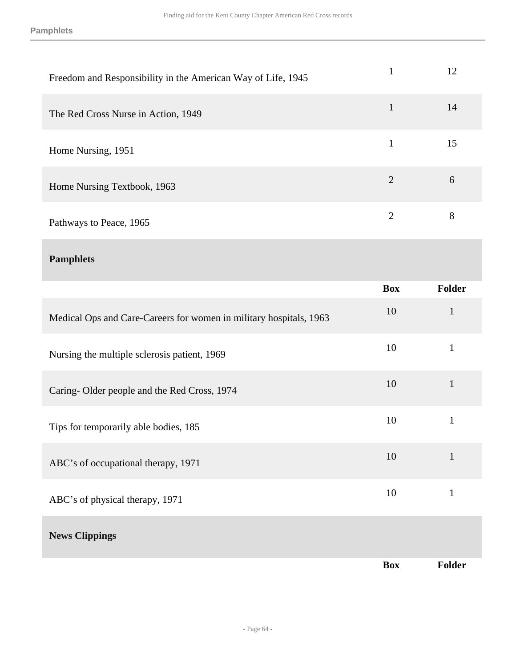**Pamphlets**

| Freedom and Responsibility in the American Way of Life, 1945       | $\mathbf{1}$   | 12            |
|--------------------------------------------------------------------|----------------|---------------|
| The Red Cross Nurse in Action, 1949                                | $\mathbf{1}$   | 14            |
| Home Nursing, 1951                                                 | $\mathbf{1}$   | 15            |
| Home Nursing Textbook, 1963                                        | $\overline{2}$ | 6             |
| Pathways to Peace, 1965                                            | $\overline{2}$ | 8             |
| <b>Pamphlets</b>                                                   |                |               |
|                                                                    |                |               |
|                                                                    | <b>Box</b>     | <b>Folder</b> |
| Medical Ops and Care-Careers for women in military hospitals, 1963 | 10             | $\mathbf{1}$  |
| Nursing the multiple sclerosis patient, 1969                       | 10             | $\mathbf{1}$  |
| Caring-Older people and the Red Cross, 1974                        | 10             | $\mathbf{1}$  |
| Tips for temporarily able bodies, 185                              | 10             | $\mathbf{1}$  |

ABC's of physical therapy, 1971 10 1

## **News Clippings**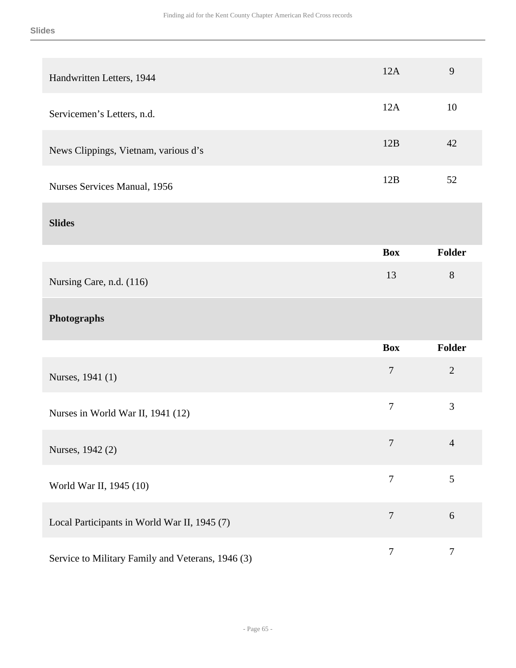| Handwritten Letters, 1944                         | 12A              | 9              |
|---------------------------------------------------|------------------|----------------|
| Servicemen's Letters, n.d.                        | 12A              | 10             |
| News Clippings, Vietnam, various d's              | 12B              | 42             |
| Nurses Services Manual, 1956                      | 12B              | 52             |
| <b>Slides</b>                                     |                  |                |
|                                                   | <b>Box</b>       | <b>Folder</b>  |
| Nursing Care, n.d. (116)                          | 13               | 8              |
| Photographs                                       |                  |                |
|                                                   | <b>Box</b>       | <b>Folder</b>  |
| Nurses, 1941 (1)                                  | $\overline{7}$   | $\overline{2}$ |
| Nurses in World War II, 1941 (12)                 | $\overline{7}$   | 3              |
| Nurses, 1942 (2)                                  | $\overline{7}$   | $\overline{4}$ |
| World War II, 1945 (10)                           | $\overline{7}$   | 5              |
| Local Participants in World War II, 1945 (7)      | $\overline{7}$   | 6              |
| Service to Military Family and Veterans, 1946 (3) | $\boldsymbol{7}$ | $\tau$         |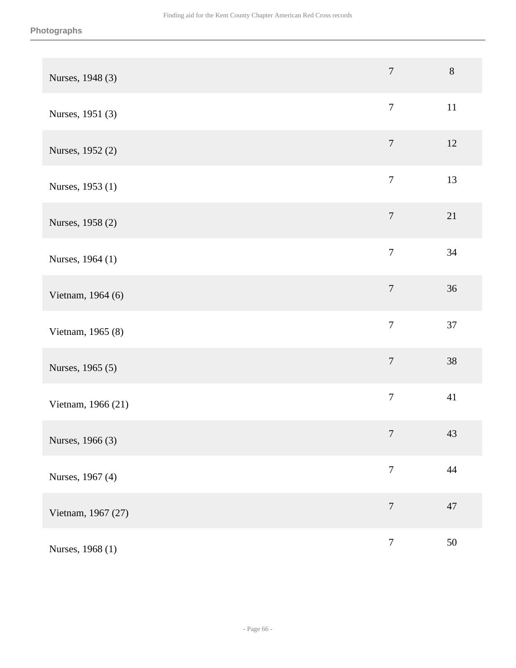| Nurses, 1948 (3)   | $\overline{7}$   | $8\,$  |
|--------------------|------------------|--------|
| Nurses, 1951 (3)   | $\overline{7}$   | $11\,$ |
| Nurses, 1952 (2)   | $\boldsymbol{7}$ | 12     |
| Nurses, 1953 (1)   | $\overline{7}$   | 13     |
| Nurses, 1958 (2)   | $\overline{7}$   | 21     |
| Nurses, 1964 (1)   | $\boldsymbol{7}$ | 34     |
| Vietnam, 1964 (6)  | $\overline{7}$   | 36     |
| Vietnam, 1965 (8)  | $\boldsymbol{7}$ | 37     |
| Nurses, 1965 (5)   | $\overline{7}$   | 38     |
| Vietnam, 1966 (21) | $\tau$           | 41     |
| Nurses, 1966 (3)   | $\boldsymbol{7}$ | 43     |
| Nurses, 1967 (4)   | $\overline{7}$   | $44\,$ |
| Vietnam, 1967 (27) | $\overline{7}$   | 47     |
| Nurses, 1968 (1)   | $\boldsymbol{7}$ | $50\,$ |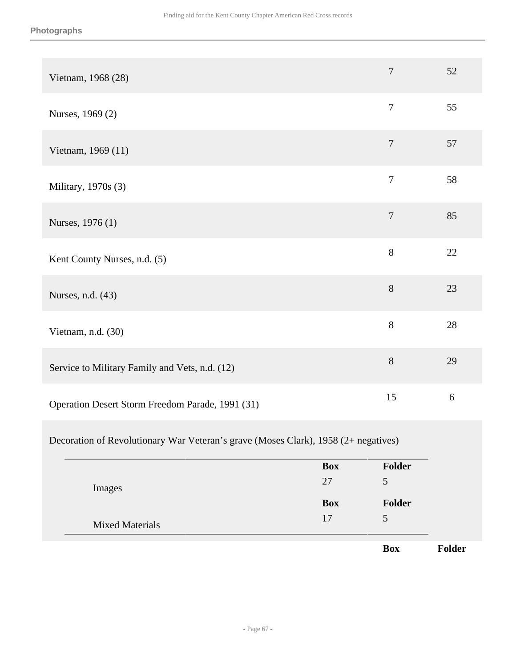| Vietnam, 1968 (28)                               | $\overline{7}$ | 52 |
|--------------------------------------------------|----------------|----|
| Nurses, 1969 (2)                                 | $\overline{7}$ | 55 |
| Vietnam, 1969 (11)                               | $\overline{7}$ | 57 |
| Military, 1970s (3)                              | $\overline{7}$ | 58 |
| Nurses, 1976 (1)                                 | $\overline{7}$ | 85 |
| Kent County Nurses, n.d. (5)                     | 8              | 22 |
| Nurses, n.d. (43)                                | 8              | 23 |
| Vietnam, n.d. (30)                               | 8              | 28 |
| Service to Military Family and Vets, n.d. (12)   | 8              | 29 |
| Operation Desert Storm Freedom Parade, 1991 (31) | 15             | 6  |

#### Decoration of Revolutionary War Veteran's grave (Moses Clark), 1958 (2+ negatives)

|                        | <b>Box</b> | Folder     |
|------------------------|------------|------------|
| Images                 | 27         | 5          |
|                        | <b>Box</b> | Folder     |
| <b>Mixed Materials</b> | 17         | 5          |
|                        |            | <b>Box</b> |